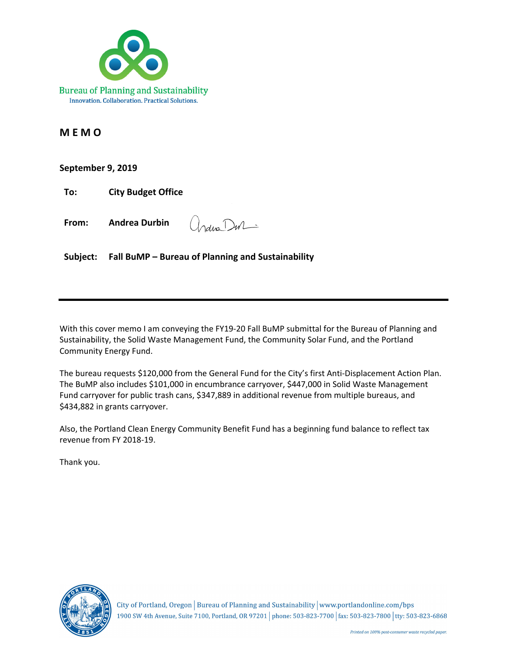

### **M E M O**

### **September 9, 2019**

(India Dur-**From: Andrea Durbin** 

**Subject: Fall BuMP – Bureau of Planning and Sustainability** 

With this cover memo I am conveying the FY19-20 Fall BuMP submittal for the Bureau of Planning and Sustainability, the Solid Waste Management Fund, the Community Solar Fund, and the Portland Community Energy Fund.

The bureau requests \$120,000 from the General Fund for the City's first Anti-Displacement Action Plan. The BuMP also includes \$101,000 in encumbrance carryover, \$447,000 in Solid Waste Management Fund carryover for public trash cans, \$347,889 in additional revenue from multiple bureaus, and \$434,882 in grants carryover.

Also, the Portland Clean Energy Community Benefit Fund has a beginning fund balance to reflect tax revenue from FY 2018‐19.

Thank you.



City of Portland, Oregon | Bureau of Planning and Sustainability | www.portlandonline.com/bps 1900 SW 4th Avenue, Suite 7100, Portland, OR 97201 | phone: 503-823-7700 | fax: 503-823-7800 | tty: 503-823-6868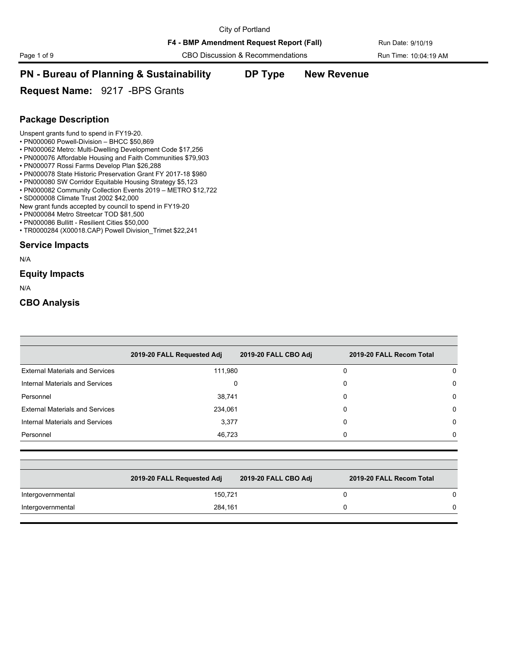F4 - BMP Amendment Request Report (Fall) Run Date: 9/10/19

Page 1 of 9 CBO Discussion & Recommendations Run Time: 10:04:19 AM

## **PN - Bureau of Planning & Sustainability DP Type New Revenue**

**Request Name:** 9217 -BPS Grants

### **Package Description**

Unspent grants fund to spend in FY19-20.

- PN000060 Powell-Division BHCC \$50,869
- PN000062 Metro: Multi-Dwelling Development Code \$17,256
- PN000076 Affordable Housing and Faith Communities \$79,903
- PN000077 Rossi Farms Develop Plan \$26,288
- PN000078 State Historic Preservation Grant FY 2017-18 \$980
- PN000080 SW Corridor Equitable Housing Strategy \$5,123
- PN000082 Community Collection Events 2019 METRO \$12,722
- SD000008 Climate Trust 2002 \$42,000
- New grant funds accepted by council to spend in FY19-20
- PN000084 Metro Streetcar TOD \$81,500
- PN000086 Bullitt Resilient Cities \$50,000
- TR0000284 (X00018.CAP) Powell Division\_Trimet \$22,241

#### **Service Impacts**

N/A

#### **Equity Impacts**

N/A

|                                        | 2019-20 FALL Requested Adj | 2019-20 FALL CBO Adj | 2019-20 FALL Recom Total |   |
|----------------------------------------|----------------------------|----------------------|--------------------------|---|
| <b>External Materials and Services</b> | 111,980                    |                      | 0                        | 0 |
| Internal Materials and Services        | 0                          |                      | 0                        | 0 |
| Personnel                              | 38,741                     |                      | $\Omega$                 | 0 |
| <b>External Materials and Services</b> | 234,061                    |                      | 0                        | 0 |
| Internal Materials and Services        | 3,377                      |                      | $\Omega$                 | 0 |
| Personnel                              | 46,723                     |                      | 0                        | 0 |
|                                        |                            |                      |                          |   |
|                                        | 2019-20 FALL Requested Adj | 2019-20 FALL CBO Adj | 2019-20 FALL Recom Total |   |
| Intergovernmental                      | 150,721                    |                      | $\Omega$                 | 0 |
| Intergovernmental                      | 284,161                    |                      | $\Omega$                 | 0 |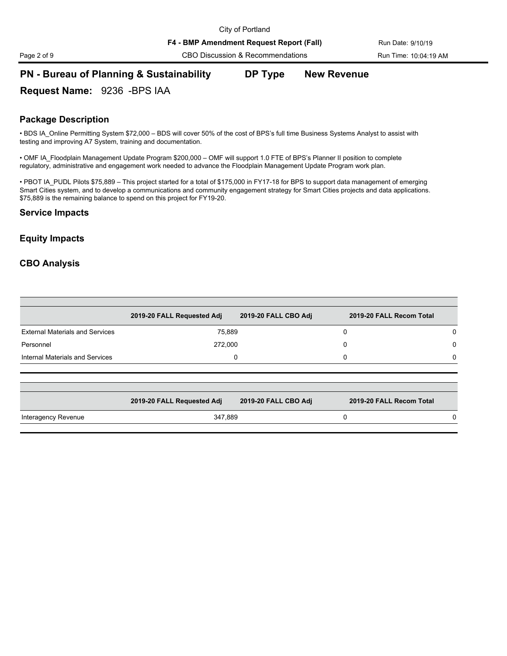F4 - BMP Amendment Request Report (Fall) Run Date: 9/10/19

Page 2 of 9 CBO Discussion & Recommendations Run Time: 10:04:19 AM

### **PN - Bureau of Planning & Sustainability DP Type New Revenue**

**Request Name:** 9236 -BPS IAA

### **Package Description**

• BDS IA\_Online Permitting System \$72,000 – BDS will cover 50% of the cost of BPS's full time Business Systems Analyst to assist with testing and improving A7 System, training and documentation.

• OMF IA Floodplain Management Update Program \$200,000 – OMF will support 1.0 FTE of BPS's Planner II position to complete regulatory, administrative and engagement work needed to advance the Floodplain Management Update Program work plan.

• PBOT IA\_PUDL Pilots \$75,889 – This project started for a total of \$175,000 in FY17-18 for BPS to support data management of emerging Smart Cities system, and to develop a communications and community engagement strategy for Smart Cities projects and data applications. \$75,889 is the remaining balance to spend on this project for FY19-20.

#### **Service Impacts**

### **Equity Impacts**

|                                        | 2019-20 FALL Requested Adj | 2019-20 FALL CBO Adj | 2019-20 FALL Recom Total |
|----------------------------------------|----------------------------|----------------------|--------------------------|
| <b>External Materials and Services</b> | 75.889                     |                      | <sup>n</sup>             |
| Personnel                              | 272.000                    |                      | 0                        |
| Internal Materials and Services        |                            |                      | 0                        |

|                     | 2019-20 FALL Requested Adj | 2019-20 FALL CBO Adj | 2019-20 FALL Recom Total |  |
|---------------------|----------------------------|----------------------|--------------------------|--|
| Interagency Revenue | 347.889                    |                      |                          |  |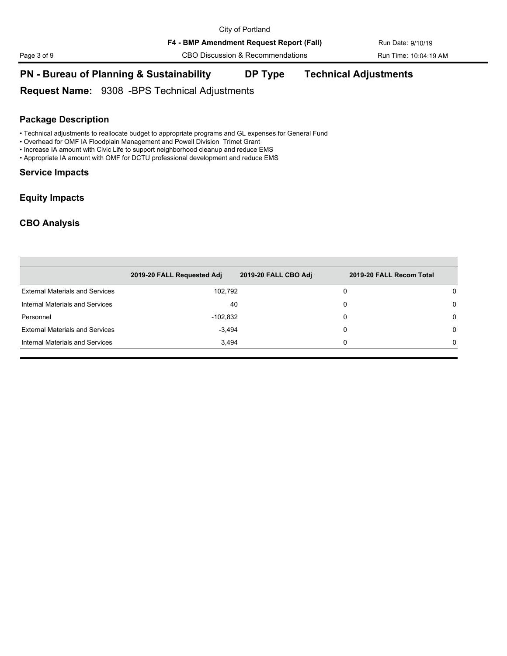Page 3 of 9 CBO Discussion & Recommendations Run Time: 10:04:19 AM

## **PN - Bureau of Planning & Sustainability DP Type Technical Adjustments**

**Request Name:** 9308 -BPS Technical Adjustments

### **Package Description**

• Technical adjustments to reallocate budget to appropriate programs and GL expenses for General Fund

- Overhead for OMF IA Floodplain Management and Powell Division\_Trimet Grant
- Increase IA amount with Civic Life to support neighborhood cleanup and reduce EMS
- Appropriate IA amount with OMF for DCTU professional development and reduce EMS

### **Service Impacts**

### **Equity Impacts**

| 2019-20 FALL Requested Adj | 2019-20 FALL CBO Adj | 2019-20 FALL Recom Total                         |          |
|----------------------------|----------------------|--------------------------------------------------|----------|
|                            |                      | 0                                                | 0        |
|                            |                      | 0                                                | $\Omega$ |
|                            |                      | 0                                                | $\Omega$ |
|                            |                      | 0                                                | $\Omega$ |
|                            |                      | 0                                                | 0        |
|                            |                      | 102,792<br>40<br>$-102,832$<br>$-3,494$<br>3,494 |          |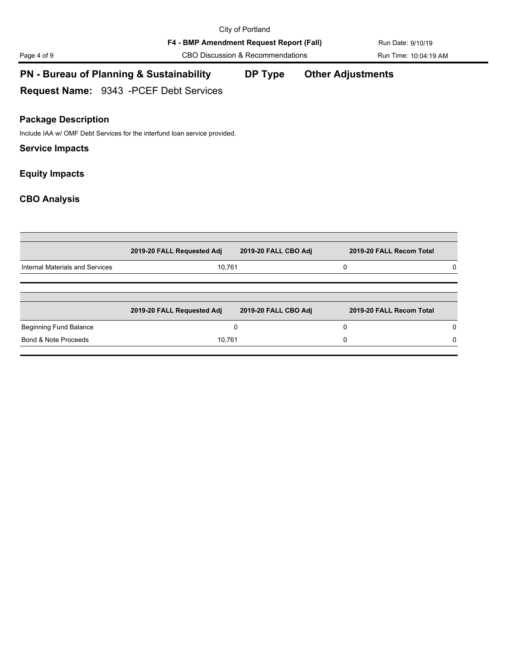F4 - BMP Amendment Request Report (Fall) Run Date: 9/10/19

Page 4 of 9 CBO Discussion & Recommendations Run Time: 10:04:19 AM

## **PN - Bureau of Planning & Sustainability DP Type Other Adjustments**

**Request Name:** 9343 -PCEF Debt Services

### **Package Description**

Include IAA w/ OMF Debt Services for the interfund loan service provided.

### **Service Impacts**

### **Equity Impacts**

| 2019-20 FALL Requested Adj | 2019-20 FALL CBO Adj |                  |                                                      |
|----------------------------|----------------------|------------------|------------------------------------------------------|
|                            |                      | 0                |                                                      |
|                            |                      |                  |                                                      |
|                            |                      |                  |                                                      |
| 2019-20 FALL Requested Adj | 2019-20 FALL CBO Adj |                  |                                                      |
|                            |                      | 0                | 0                                                    |
|                            |                      | 0                | 0                                                    |
|                            |                      | 10.761<br>10,761 | 2019-20 FALL Recom Total<br>2019-20 FALL Recom Total |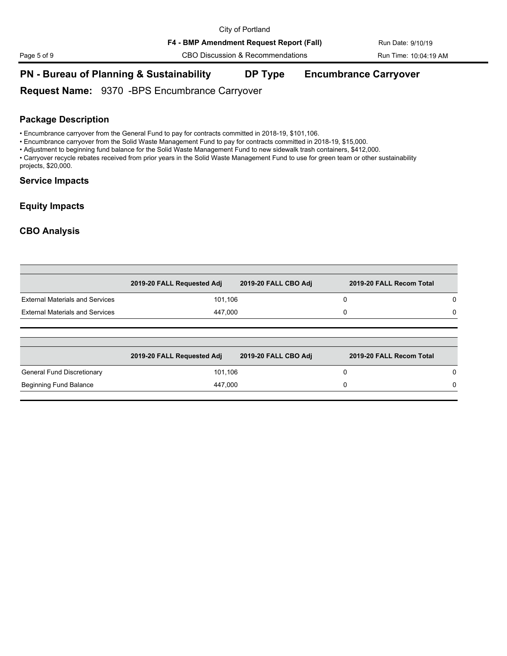Page 5 of 9 CBO Discussion & Recommendations Run Time: 10:04:19 AM

### **PN - Bureau of Planning & Sustainability DP Type Encumbrance Carryover**

**Request Name:** 9370 -BPS Encumbrance Carryover

### **Package Description**

• Encumbrance carryover from the General Fund to pay for contracts committed in 2018-19, \$101,106.

• Encumbrance carryover from the Solid Waste Management Fund to pay for contracts committed in 2018-19, \$15,000.

• Adjustment to beginning fund balance for the Solid Waste Management Fund to new sidewalk trash containers, \$412,000.

• Carryover recycle rebates received from prior years in the Solid Waste Management Fund to use for green team or other sustainability projects, \$20,000.

#### **Service Impacts**

#### **Equity Impacts**

### **CBO Analysis**

|                                        | 2019-20 FALL Requested Adj | 2019-20 FALL CBO Adj | 2019-20 FALL Recom Total |   |
|----------------------------------------|----------------------------|----------------------|--------------------------|---|
| <b>External Materials and Services</b> | 101,106                    |                      | 0                        | 0 |
| <b>External Materials and Services</b> | 447,000                    |                      | 0                        | 0 |
|                                        |                            |                      |                          |   |
|                                        |                            |                      |                          |   |
|                                        | 2019-20 FALL Requested Adj | 2019-20 FALL CBO Adj | 2019-20 FALL Recom Total |   |
| General Fund Discretionary             | 101,106                    |                      | 0                        |   |

Beginning Fund Balance and Communication of the 447,000 and Communication of the Communication of the Communication of the Communication of the Communication of the Communication of the Communication of the Communication o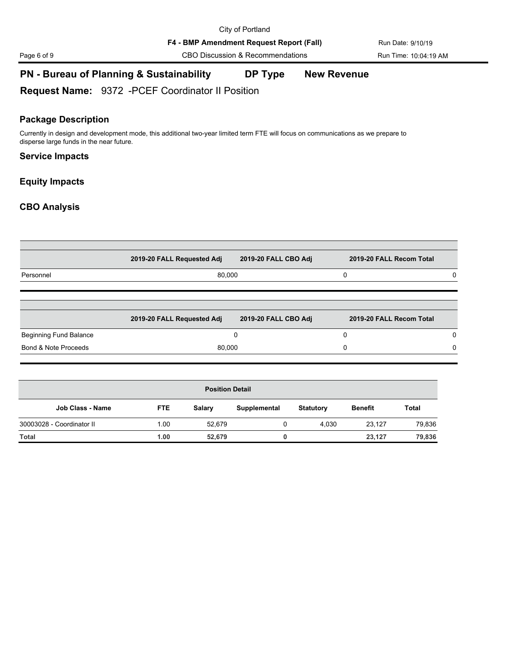F4 - BMP Amendment Request Report (Fall) Run Date: 9/10/19

Page 6 of 9 CBO Discussion & Recommendations Run Time: 10:04:19 AM

## **PN - Bureau of Planning & Sustainability DP Type New Revenue**

**Request Name:** 9372 -PCEF Coordinator II Position

### **Package Description**

Currently in design and development mode, this additional two-year limited term FTE will focus on communications as we prepare to disperse large funds in the near future.

#### **Service Impacts**

### **Equity Impacts**

|                           | 2019-20 FALL Requested Adj |                        | 2019-20 FALL CBO Adj |                  | 2019-20 FALL Recom Total |              |   |
|---------------------------|----------------------------|------------------------|----------------------|------------------|--------------------------|--------------|---|
| Personnel                 |                            | 80,000                 |                      |                  | 0                        |              | 0 |
|                           | 2019-20 FALL Requested Adj |                        | 2019-20 FALL CBO Adj |                  | 2019-20 FALL Recom Total |              |   |
| Beginning Fund Balance    |                            |                        | 0                    |                  | 0                        |              | 0 |
| Bond & Note Proceeds      |                            | 80,000                 |                      |                  | 0                        |              | 0 |
|                           |                            | <b>Position Detail</b> |                      |                  |                          |              |   |
| <b>Job Class - Name</b>   | <b>FTE</b>                 | <b>Salary</b>          | Supplemental         | <b>Statutory</b> | <b>Benefit</b>           | <b>Total</b> |   |
| 30003028 - Coordinator II | 1.00                       | 52,679                 | 0                    | 4,030            | 23,127                   | 79,836       |   |
| <b>Total</b>              | 1.00                       | 52,679                 | 0                    |                  | 23,127                   | 79,836       |   |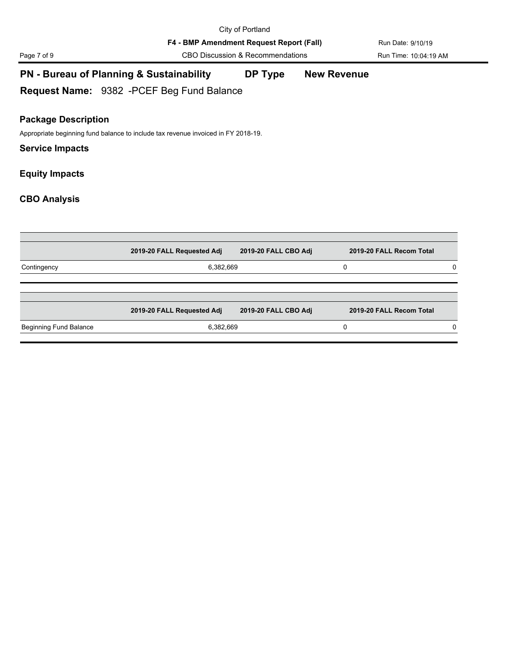F4 - BMP Amendment Request Report (Fall) Run Date: 9/10/19

Page 7 of 9 CBO Discussion & Recommendations Run Time: 10:04:19 AM

## **PN - Bureau of Planning & Sustainability DP Type New Revenue**

**Request Name:** 9382 -PCEF Beg Fund Balance

### **Package Description**

Appropriate beginning fund balance to include tax revenue invoiced in FY 2018-19.

### **Service Impacts**

**Equity Impacts**

|                        | 2019-20 FALL Requested Adj | 2019-20 FALL CBO Adj | 2019-20 FALL Recom Total |   |
|------------------------|----------------------------|----------------------|--------------------------|---|
| Contingency            | 6,382,669                  |                      |                          | 0 |
|                        | 2019-20 FALL Requested Adj | 2019-20 FALL CBO Adj | 2019-20 FALL Recom Total |   |
| Beginning Fund Balance | 6,382,669                  |                      |                          | 0 |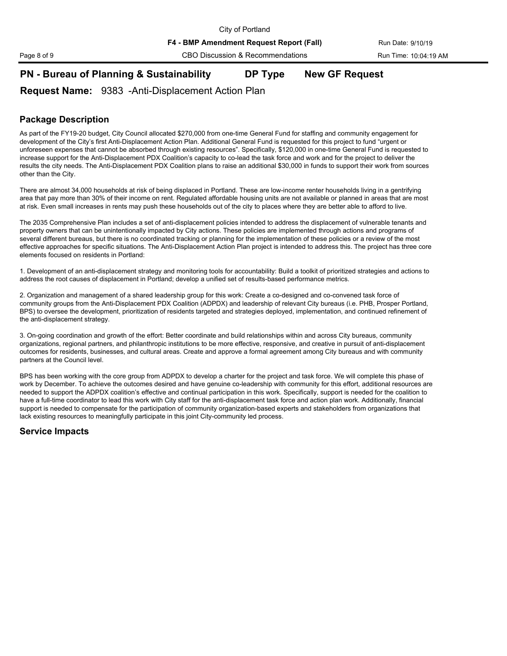Page 8 of 9 CBO Discussion & Recommendations Run Time: 10:04:19 AM

## **PN - Bureau of Planning & Sustainability DP Type New GF Request**

### **Request Name:** 9383 -Anti-Displacement Action Plan

### **Package Description**

As part of the FY19-20 budget, City Council allocated \$270,000 from one-time General Fund for staffing and community engagement for development of the City's first Anti-Displacement Action Plan. Additional General Fund is requested for this project to fund "urgent or unforeseen expenses that cannot be absorbed through existing resources". Specifically, \$120,000 in one-time General Fund is requested to increase support for the Anti-Displacement PDX Coalition's capacity to co-lead the task force and work and for the project to deliver the results the city needs. The Anti-Displacement PDX Coalition plans to raise an additional \$30,000 in funds to support their work from sources other than the City.

There are almost 34,000 households at risk of being displaced in Portland. These are low-income renter households living in a gentrifying area that pay more than 30% of their income on rent. Regulated affordable housing units are not available or planned in areas that are most at risk. Even small increases in rents may push these households out of the city to places where they are better able to afford to live.

The 2035 Comprehensive Plan includes a set of anti-displacement policies intended to address the displacement of vulnerable tenants and property owners that can be unintentionally impacted by City actions. These policies are implemented through actions and programs of several different bureaus, but there is no coordinated tracking or planning for the implementation of these policies or a review of the most effective approaches for specific situations. The Anti-Displacement Action Plan project is intended to address this. The project has three core elements focused on residents in Portland:

1. Development of an anti-displacement strategy and monitoring tools for accountability: Build a toolkit of prioritized strategies and actions to address the root causes of displacement in Portland; develop a unified set of results-based performance metrics.

2. Organization and management of a shared leadership group for this work: Create a co-designed and co-convened task force of community groups from the Anti-Displacement PDX Coalition (ADPDX) and leadership of relevant City bureaus (i.e. PHB, Prosper Portland, BPS) to oversee the development, prioritization of residents targeted and strategies deployed, implementation, and continued refinement of the anti-displacement strategy.

3. On-going coordination and growth of the effort: Better coordinate and build relationships within and across City bureaus, community organizations, regional partners, and philanthropic institutions to be more effective, responsive, and creative in pursuit of anti-displacement outcomes for residents, businesses, and cultural areas. Create and approve a formal agreement among City bureaus and with community partners at the Council level.

BPS has been working with the core group from ADPDX to develop a charter for the project and task force. We will complete this phase of work by December. To achieve the outcomes desired and have genuine co-leadership with community for this effort, additional resources are needed to support the ADPDX coalition's effective and continual participation in this work. Specifically, support is needed for the coalition to have a full-time coordinator to lead this work with City staff for the anti-displacement task force and action plan work. Additionally, financial support is needed to compensate for the participation of community organization-based experts and stakeholders from organizations that lack existing resources to meaningfully participate in this joint City-community led process.

### **Service Impacts**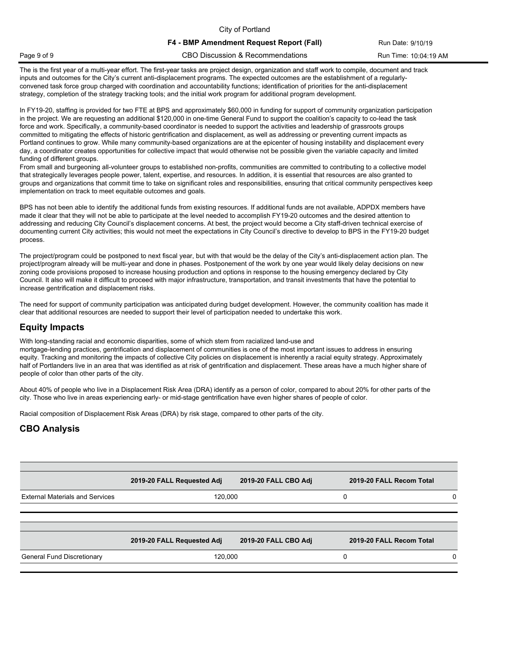City of Portland **F4 - BMP Amendment Request Report (Fall)** Run Date: 9/10/19 Page 9 of 9 CBO Discussion & Recommendations Run Time: 10:04:19 AM

The is the first year of a multi-year effort. The first-year tasks are project design, organization and staff work to compile, document and track inputs and outcomes for the City's current anti-displacement programs. The expected outcomes are the establishment of a regularlyconvened task force group charged with coordination and accountability functions; identification of priorities for the anti-displacement strategy, completion of the strategy tracking tools; and the initial work program for additional program development.

In FY19-20, staffing is provided for two FTE at BPS and approximately \$60,000 in funding for support of community organization participation in the project. We are requesting an additional \$120,000 in one-time General Fund to support the coalition's capacity to co-lead the task force and work. Specifically, a community-based coordinator is needed to support the activities and leadership of grassroots groups committed to mitigating the effects of historic gentrification and displacement, as well as addressing or preventing current impacts as Portland continues to grow. While many community-based organizations are at the epicenter of housing instability and displacement every day, a coordinator creates opportunities for collective impact that would otherwise not be possible given the variable capacity and limited funding of different groups.

From small and burgeoning all-volunteer groups to established non-profits, communities are committed to contributing to a collective model that strategically leverages people power, talent, expertise, and resources. In addition, it is essential that resources are also granted to groups and organizations that commit time to take on significant roles and responsibilities, ensuring that critical community perspectives keep implementation on track to meet equitable outcomes and goals.

BPS has not been able to identify the additional funds from existing resources. If additional funds are not available, ADPDX members have made it clear that they will not be able to participate at the level needed to accomplish FY19-20 outcomes and the desired attention to addressing and reducing City Council's displacement concerns. At best, the project would become a City staff-driven technical exercise of documenting current City activities; this would not meet the expectations in City Council's directive to develop to BPS in the FY19-20 budget process.

The project/program could be postponed to next fiscal year, but with that would be the delay of the City's anti-displacement action plan. The project/program already will be multi-year and done in phases. Postponement of the work by one year would likely delay decisions on new zoning code provisions proposed to increase housing production and options in response to the housing emergency declared by City Council. It also will make it difficult to proceed with major infrastructure, transportation, and transit investments that have the potential to increase gentrification and displacement risks.

The need for support of community participation was anticipated during budget development. However, the community coalition has made it clear that additional resources are needed to support their level of participation needed to undertake this work.

#### **Equity Impacts**

With long-standing racial and economic disparities, some of which stem from racialized land-use and mortgage-lending practices, gentrification and displacement of communities is one of the most important issues to address in ensuring equity. Tracking and monitoring the impacts of collective City policies on displacement is inherently a racial equity strategy. Approximately half of Portlanders live in an area that was identified as at risk of gentrification and displacement. These areas have a much higher share of people of color than other parts of the city.

About 40% of people who live in a Displacement Risk Area (DRA) identify as a person of color, compared to about 20% for other parts of the city. Those who live in areas experiencing early- or mid-stage gentrification have even higher shares of people of color.

Racial composition of Displacement Risk Areas (DRA) by risk stage, compared to other parts of the city.

|                                        | 2019-20 FALL Requested Adj | 2019-20 FALL CBO Adj | 2019-20 FALL Recom Total |  |
|----------------------------------------|----------------------------|----------------------|--------------------------|--|
| <b>External Materials and Services</b> | 120,000                    |                      | 0                        |  |
|                                        |                            |                      |                          |  |
|                                        | 2019-20 FALL Requested Adj | 2019-20 FALL CBO Adj | 2019-20 FALL Recom Total |  |
| General Fund Discretionary             | 120,000                    |                      | 0                        |  |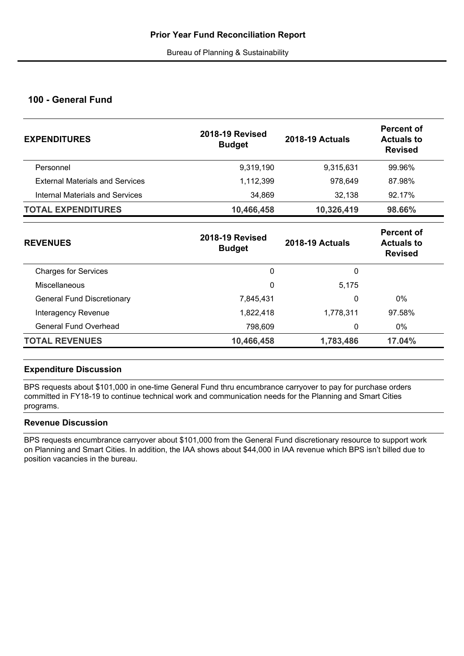### **100 - General Fund**

| <b>EXPENDITURES</b>                    | <b>2018-19 Revised</b><br><b>Budget</b> | <b>2018-19 Actuals</b> | <b>Percent of</b><br><b>Actuals to</b><br><b>Revised</b> |
|----------------------------------------|-----------------------------------------|------------------------|----------------------------------------------------------|
| Personnel                              | 9,319,190                               | 9,315,631              | 99.96%                                                   |
| <b>External Materials and Services</b> | 1,112,399                               | 978,649                | 87.98%                                                   |
| Internal Materials and Services        | 34,869                                  | 32,138                 | 92.17%                                                   |
| <b>TOTAL EXPENDITURES</b>              | 10,466,458                              | 10,326,419             | 98.66%                                                   |
|                                        | <b>DAJO AD DAVISSA</b>                  |                        | <b>Percent of</b>                                        |

| <b>2018-19 Revised</b><br><b>REVENUES</b><br><b>Budget</b> | <b>2018-19 Actuals</b> | <b>Actuals to</b><br><b>Revised</b> |
|------------------------------------------------------------|------------------------|-------------------------------------|
| <b>Charges for Services</b><br>0                           | 0                      |                                     |
| 0<br>Miscellaneous                                         | 5,175                  |                                     |
| <b>General Fund Discretionary</b><br>7,845,431             | 0                      | 0%                                  |
| 1,822,418<br>Interagency Revenue                           | 1,778,311              | 97.58%                              |
| General Fund Overhead<br>798,609                           | 0                      | 0%                                  |
| <b>TOTAL REVENUES</b><br>10,466,458                        | 1,783,486              | 17.04%                              |

### **Expenditure Discussion**

BPS requests about \$101,000 in one-time General Fund thru encumbrance carryover to pay for purchase orders committed in FY18-19 to continue technical work and communication needs for the Planning and Smart Cities programs.

### **Revenue Discussion**

BPS requests encumbrance carryover about \$101,000 from the General Fund discretionary resource to support work on Planning and Smart Cities. In addition, the IAA shows about \$44,000 in IAA revenue which BPS isn't billed due to position vacancies in the bureau.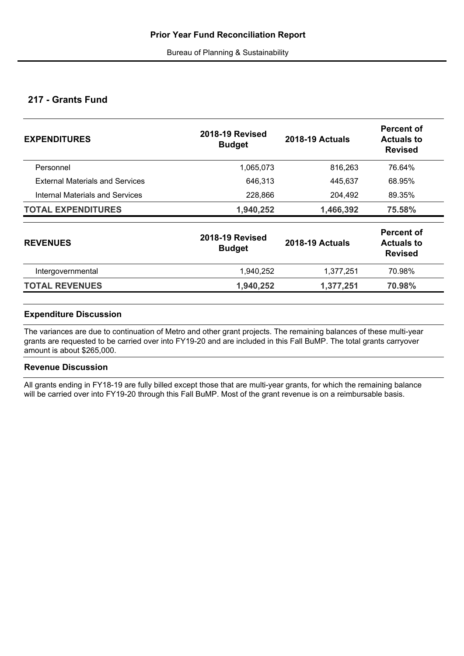### **217 - Grants Fund**

| <b>EXPENDITURES</b>                    | <b>2018-19 Revised</b><br><b>Budget</b> | <b>2018-19 Actuals</b> | Percent of<br><b>Actuals to</b><br><b>Revised</b> |
|----------------------------------------|-----------------------------------------|------------------------|---------------------------------------------------|
| Personnel                              | 1,065,073                               | 816,263                | 76.64%                                            |
| <b>External Materials and Services</b> | 646,313                                 | 445,637                | 68.95%                                            |
| Internal Materials and Services        | 228,866                                 | 204,492                | 89.35%                                            |
| <b>TOTAL EXPENDITURES</b>              | 1,940,252                               | 1,466,392              | 75.58%                                            |
| <b>REVENUES</b>                        | <b>2018-19 Revised</b><br><b>Budget</b> | <b>2018-19 Actuals</b> | Percent of<br><b>Actuals to</b><br><b>Revised</b> |
| Intergovernmental                      | 1,940,252                               | 1,377,251              | 70.98%                                            |
| <b>TOTAL REVENUES</b>                  | 1,940,252                               | 1,377,251              | 70.98%                                            |

### **Expenditure Discussion**

The variances are due to continuation of Metro and other grant projects. The remaining balances of these multi-year grants are requested to be carried over into FY19-20 and are included in this Fall BuMP. The total grants carryover amount is about \$265,000.

### **Revenue Discussion**

All grants ending in FY18-19 are fully billed except those that are multi-year grants, for which the remaining balance will be carried over into FY19-20 through this Fall BuMP. Most of the grant revenue is on a reimbursable basis.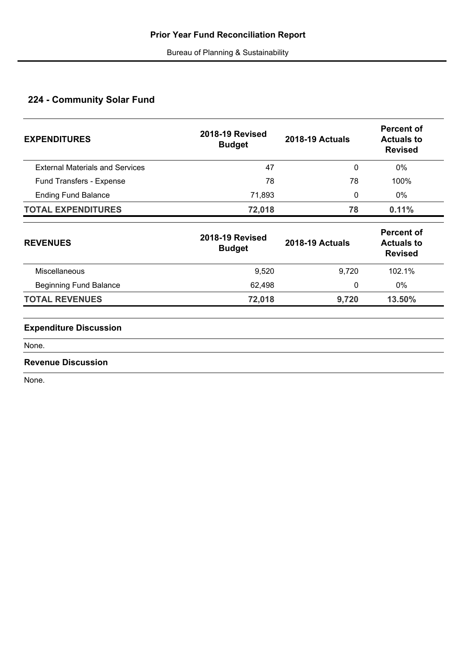# **224 - Community Solar Fund**

| <b>EXPENDITURES</b>                    | <b>2018-19 Revised</b><br><b>Budget</b> | <b>2018-19 Actuals</b> | <b>Percent of</b><br><b>Actuals to</b><br><b>Revised</b> |
|----------------------------------------|-----------------------------------------|------------------------|----------------------------------------------------------|
| <b>External Materials and Services</b> | 47                                      | 0                      | 0%                                                       |
| Fund Transfers - Expense               | 78                                      | 78                     | 100%                                                     |
| <b>Ending Fund Balance</b>             | 71,893                                  | 0                      | 0%                                                       |
| <b>TOTAL EXPENDITURES</b>              | 72,018                                  | 78                     | 0.11%                                                    |
| <b>REVENUES</b>                        | <b>2018-19 Revised</b><br><b>Budget</b> | <b>2018-19 Actuals</b> | <b>Percent of</b><br><b>Actuals to</b><br><b>Revised</b> |
| Miscellaneous                          | 9,520                                   | 9,720                  | 102.1%                                                   |
| <b>Beginning Fund Balance</b>          | 62,498                                  | 0                      | 0%                                                       |
| <b>TOTAL REVENUES</b>                  | 72,018                                  | 9,720                  | 13.50%                                                   |
| <b>Expenditure Discussion</b>          |                                         |                        |                                                          |
| None.                                  |                                         |                        |                                                          |
| <b>Revenue Discussion</b>              |                                         |                        |                                                          |

None.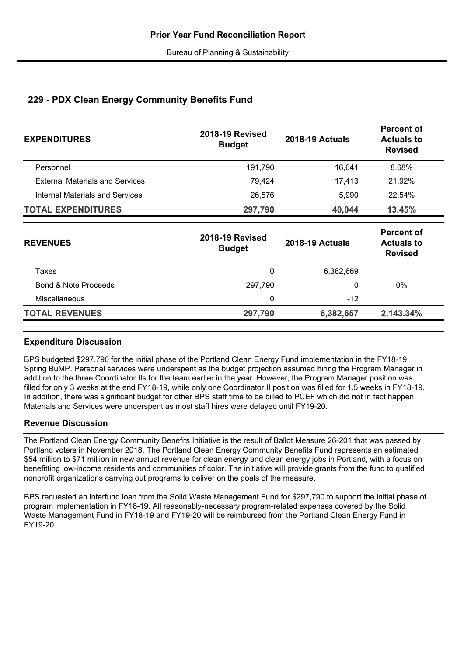### **229 - PDX Clean Energy Community Benefits Fund**

| <b>EXPENDITURES</b>                    | <b>2018-19 Revised</b><br><b>Budget</b> | <b>2018-19 Actuals</b> | <b>Percent of</b><br><b>Actuals to</b><br><b>Revised</b> |  |
|----------------------------------------|-----------------------------------------|------------------------|----------------------------------------------------------|--|
| Personnel                              | 191,790                                 | 16,641                 | 8.68%                                                    |  |
| <b>External Materials and Services</b> | 79,424                                  | 17,413                 | 21.92%                                                   |  |
| <b>Internal Materials and Services</b> | 26,576                                  | 5,990                  | 22.54%                                                   |  |
| <b>TOTAL EXPENDITURES</b>              | 297,790                                 | 40,044                 | 13.45%                                                   |  |
| <b>REVENUES</b>                        | <b>2018-19 Revised</b><br><b>Budget</b> | <b>2018-19 Actuals</b> | <b>Percent of</b><br><b>Actuals to</b><br><b>Revised</b> |  |
| Taxes                                  | 0                                       | 6,382,669              |                                                          |  |
| Bond & Note Proceeds                   | 297,790                                 | 0                      | 0%                                                       |  |
| Miscellaneous                          | 0                                       | $-12$                  |                                                          |  |
| <b>TOTAL REVENUES</b>                  | 297,790                                 | 6,382,657              | 2,143.34%                                                |  |

### **Expenditure Discussion**

BPS budgeted \$297,790 for the initial phase of the Portland Clean Energy Fund implementation in the FY18-19 Spring BuMP. Personal services were underspent as the budget projection assumed hiring the Program Manager in addition to the three Coordinator IIs for the team earlier in the year. However, the Program Manager position was filled for only 3 weeks at the end FY18-19, while only one Coordinator II position was filled for 1.5 weeks in FY18-19. In addition, there was significant budget for other BPS staff time to be billed to PCEF which did not in fact happen. Materials and Services were underspent as most staff hires were delayed until FY19-20.

### **Revenue Discussion**

The Portland Clean Energy Community Benefits Initiative is the result of Ballot Measure 26-201 that was passed by Portland voters in November 2018. The Portland Clean Energy Community Benefits Fund represents an estimated \$54 million to \$71 million in new annual revenue for clean energy and clean energy jobs in Portland, with a focus on benefitting low-income residents and communities of color. The initiative will provide grants from the fund to qualified nonprofit organizations carrying out programs to deliver on the goals of the measure.

BPS requested an interfund loan from the Solid Waste Management Fund for \$297,790 to support the initial phase of program implementation in FY18-19. All reasonably-necessary program-related expenses covered by the Solid Waste Management Fund in FY18-19 and FY19-20 will be reimbursed from the Portland Clean Energy Fund in FY19-20.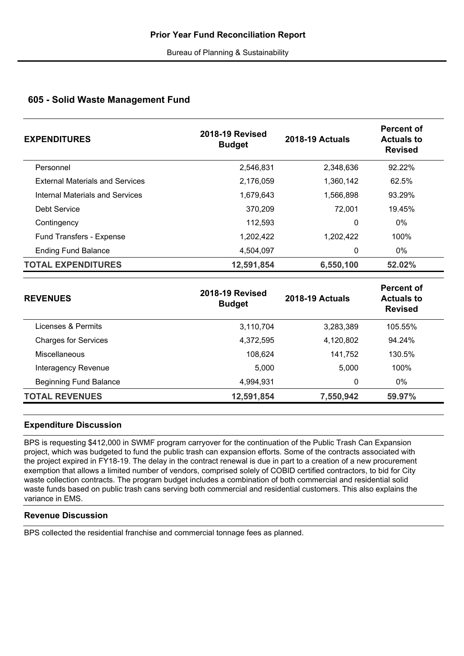### **605 - Solid Waste Management Fund**

| <b>EXPENDITURES</b>                    | <b>2018-19 Revised</b><br><b>Budget</b> | <b>2018-19 Actuals</b> | Percent of<br><b>Actuals to</b><br><b>Revised</b> |
|----------------------------------------|-----------------------------------------|------------------------|---------------------------------------------------|
| Personnel                              | 2,546,831                               | 2,348,636              | 92.22%                                            |
| <b>External Materials and Services</b> | 2,176,059                               | 1,360,142              | 62.5%                                             |
| Internal Materials and Services        | 1,679,643                               | 1,566,898              | 93.29%                                            |
| Debt Service                           | 370,209                                 | 72,001                 | 19.45%                                            |
| Contingency                            | 112,593                                 | 0                      | $0\%$                                             |
| <b>Fund Transfers - Expense</b>        | 1,202,422                               | 1,202,422              | 100%                                              |
| <b>Ending Fund Balance</b>             | 4,504,097                               | 0                      | $0\%$                                             |
| <b>TOTAL EXPENDITURES</b>              | 12,591,854                              | 6,550,100              | 52.02%                                            |

| <b>REVENUES</b>             | <b>2018-19 Revised</b><br><b>Budget</b> | <b>2018-19 Actuals</b> | <b>Percent of</b><br><b>Actuals to</b><br><b>Revised</b> |
|-----------------------------|-----------------------------------------|------------------------|----------------------------------------------------------|
| Licenses & Permits          | 3,110,704                               | 3,283,389              | 105.55%                                                  |
| <b>Charges for Services</b> | 4,372,595                               | 4,120,802              | 94.24%                                                   |
| Miscellaneous               | 108,624                                 | 141,752                | 130.5%                                                   |
| Interagency Revenue         | 5,000                                   | 5,000                  | 100%                                                     |
| Beginning Fund Balance      | 4,994,931                               | 0                      | 0%                                                       |
| <b>TOTAL REVENUES</b>       | 12,591,854                              | 7,550,942              | 59.97%                                                   |

### **Expenditure Discussion**

BPS is requesting \$412,000 in SWMF program carryover for the continuation of the Public Trash Can Expansion project, which was budgeted to fund the public trash can expansion efforts. Some of the contracts associated with the project expired in FY18-19. The delay in the contract renewal is due in part to a creation of a new procurement exemption that allows a limited number of vendors, comprised solely of COBID certified contractors, to bid for City waste collection contracts. The program budget includes a combination of both commercial and residential solid waste funds based on public trash cans serving both commercial and residential customers. This also explains the variance in EMS.

### **Revenue Discussion**

BPS collected the residential franchise and commercial tonnage fees as planned.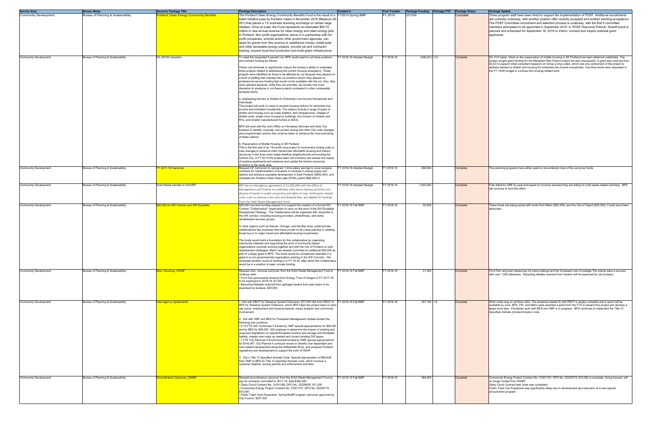| Funded in                 | Year Funded: | <b>Package Funding</b> | Package FTE | <b>Package Status</b> | <b>Package Update</b>                                                                                                                                                                                                                                                                                                                                                                                                                                                                                                          |
|---------------------------|--------------|------------------------|-------------|-----------------------|--------------------------------------------------------------------------------------------------------------------------------------------------------------------------------------------------------------------------------------------------------------------------------------------------------------------------------------------------------------------------------------------------------------------------------------------------------------------------------------------------------------------------------|
| FY2019 Spring BMP         | FY 2019      | 221254                 |             | Complete              | Three program staff have been hired to support the implementation of PCEF. Additional recruitments<br>are currently underway, with another position offer recently accepted and another pending acceptance.<br>The PCEF Committee recruitment and selection process is underway, with the first 5 committee<br>members anticipated to be appointed in September 2019. A "PCEF Resource Potluck" Kickoff event is<br>planned and scheduled for September 18, 2019 to inform, connect and inspire potential grant<br>applicants. |
| FY 2018-19 Adopted Budget | FY 2018-19   | $(436, 241) - 3.0$     |             | Complete              | 5% CUT taken. Work on the preservation of middle housing in SE Portland has been deferrred indefinitely. The<br>bureau sought grant funding for the Macadam Plan District project but was unsucessful. A grant was received from<br>DLCD to support initial consultant research on Group Living codes, which was one component of the project to<br>address barriers to shelter and housing for extremely low-income households. One-time funds were requested in<br>the FY 19/20 budget to contnue this housing-related work. |
| FY 2018-19 Adopted Budget | FY 2018-19   | 268,500                |             | Complete              | The planning programs have either spent or encumbered most of the carryover funds.                                                                                                                                                                                                                                                                                                                                                                                                                                             |
| FY 2018-19 Adopted Budget | FY 2018-19   | 1,000,000              |             | Complete              | Fully billed by OMF by year end based on invoices received they are billing for solid waste related activities. BPS<br>will continue to fund this effort.                                                                                                                                                                                                                                                                                                                                                                      |
| FY 2018-19 Fall BMP       | FY 2018-19   | 50,000                 |             | Complete              | These funds are being paired with funds from Metro (\$50,000), and the City of Tigard (\$20,000). Funds have been<br>disbursed.                                                                                                                                                                                                                                                                                                                                                                                                |
| FY 2018-19 Fall BMP       | FY 2018-19   | 21,500                 |             | Complete              | Fix-It Fair carryover helped pay for extra mailings and the increased cost of postage. The events were a success<br>with over 1,500 attendees. Recycling rebates received from haulers will be expensed by city bureaus.                                                                                                                                                                                                                                                                                                       |
| FY 2018-19 Fall BMP       | FY 2018-19   | 357,194 1.8            |             | Complete              | Work under way on all three IAAs. The streetcar-related IA with PBOT is largley complete and a report will be<br>available by June. BPS, PSI, and Metro were awarded a grant from the FTA to expand this project and develop a<br>larger work plan. Floodplain work with BES and OMF is in progress. BPS continues to implement the Title 13<br>Specified Animals (chicken/rooster) code.                                                                                                                                      |
| FY 2018-19 Fall BMP       | FY 2018-19   | 364,000                |             | Complete              | Community Energy Project Contract No. 31001191, DPO No. 22229774, \$15,000 is complete. Going forward, will<br>no longer funded from SWMF.<br>Daisy Cloud Contract task order was completed.<br>Public Trash Can Expansion was significantly delay due to development and execution of a new special<br>procurement program.                                                                                                                                                                                                   |

| Service Area<br>Community Development | <b>Bureau Name</b>                  | Decision Package Title                  | <b>Package Description</b><br><b>Funded in</b>                                                                                                                                                                                                                                                                                                                                                                                                                                                                                                                                                                                                                                                                                                                                                                                                                                                                                                                                                                                                                                                                                                                                                                                                                                                                                                                                                                                                                                                                                                                                                                                                                                       | Year Funded: | <b>Package Funding Package FTE Package Status</b> |          | <b>Package Update</b>                                                                                                                                                                                                                                                                                                                                                                                                                                                                                                     |
|---------------------------------------|-------------------------------------|-----------------------------------------|--------------------------------------------------------------------------------------------------------------------------------------------------------------------------------------------------------------------------------------------------------------------------------------------------------------------------------------------------------------------------------------------------------------------------------------------------------------------------------------------------------------------------------------------------------------------------------------------------------------------------------------------------------------------------------------------------------------------------------------------------------------------------------------------------------------------------------------------------------------------------------------------------------------------------------------------------------------------------------------------------------------------------------------------------------------------------------------------------------------------------------------------------------------------------------------------------------------------------------------------------------------------------------------------------------------------------------------------------------------------------------------------------------------------------------------------------------------------------------------------------------------------------------------------------------------------------------------------------------------------------------------------------------------------------------------|--------------|---------------------------------------------------|----------|---------------------------------------------------------------------------------------------------------------------------------------------------------------------------------------------------------------------------------------------------------------------------------------------------------------------------------------------------------------------------------------------------------------------------------------------------------------------------------------------------------------------------|
|                                       | Bureau of Planning & Sustainability | ortland Clean Energy Community Benefits | FY2019 Spring BMP<br>The Portland Clean Energy Community Benefits Fund is the result of a<br>ballot initiative pass by Portland voters in November 2018 (Measure 26-<br>201) that places a 1% business licensing surcharge on certain large<br>retailers. Once at scale, the Fund represents an estimated \$50-70<br>million in new annual revenue for clean energy and clean energy jobs<br>in Portland. Non-profit organizations, alone or in partnership with for-<br>profit companies, schools and/or other government agencies, can<br>apply for grants from this revenue to weatherize homes, install solar<br>and other renewable energy projects, provide job and contractor<br>training, expand local food production and build green infrastructure.                                                                                                                                                                                                                                                                                                                                                                                                                                                                                                                                                                                                                                                                                                                                                                                                                                                                                                                       | FY 2019      | 221254                                            | Complete | Three program staff have been hired to support the implementation of PCEF. Additional recruitment<br>are currently underway, with another position offer recently accepted and another pending acceptant<br>The PCEF Committee recruitment and selection process is underway, with the first 5 committee<br>members anticipated to be appointed in September 2019. A "PCEF Resource Potluck" Kickoff even<br>planned and scheduled for September 18, 2019 to inform, connect and inspire potential grant<br>applicants.   |
| <b>Community Development</b>          | Bureau of Planning & Sustainability | 5% GFOG reduction                       | To meet the requested 5 percent cut, BPS would need to cut three positions<br>Y 2018-19 Adopted Budget<br>and contract funding as follows.<br>These cuts eliminate or significantly reduce the bureau's ability to undertake<br>three projects related to addressing the current housing emergency. These<br>projects were identified as those to be affected by cut because they depend on<br>a level of staffing that matches the cut positions and/or they depend on<br>professional service funding that would not be available with the cut. Also, they<br>were selected because, while they are priorities, the bureau has more<br>discretion to postpone or cut these projects compared to other comparable<br>workplan items.<br>a. Addressing barriers to Shelter for Extremely Low-Income Households and<br>Individuals<br>This project will work on ways to expand housing options for extremely low-<br>income and homeless households. The options include a range of types of<br>shelter and housing such as mass shelters, tent campgrounds, villages of<br>shelter pods, single-room-occupancy buildings, tiny houses on wheels and<br>RVs, and smaller manufactured homes or ADUs.<br>BPS will work with the Joint Office on Homeless Services and other City<br>bureaus to identify, evaluate, and pursue zoning and other City code changes.<br>and programmatic actions that could be taken to advance the most promising<br>of these options.<br>. Preservation of Middle Housing in SE Portland<br>This is the first part of an 18-month long project to recommend zoning code or<br>map changes to preserve older market-rate affordable housing and historic | Y 2018-19    | $(436, 241) - 3.0$                                | Complete | 5% CUT taken. Work on the preservation of middle housing in SE Portland has been deferrred indefinitely. The<br>bureau sought grant funding for the Macadam Plan District project but was unsucessful. A grant was received fi<br>DLCD to support initial consultant research on Group Living codes, which was one component of the project to<br>address barriers to shelter and housing for extremely low-income households. One-time funds were requested<br>the FY 19/20 budget to contnue this housing-related work. |
| <b>Community Development</b>          | Bureau of Planning & Sustainability | <u>Y 2017-18 Carryover</u>              | structures in the inner-most single-dwelling neighborhoods surrounding the<br>Central City. In FY18-19 the project team will inventory and assess the supply<br>of existing apartments and duplexes and update the historic resources<br>ventory in the study area.<br>Y 2018-19 Adopted Budget<br>Request GF Carryover to reprogram 1-time salary savings to cover analysis<br>contracts for implementation of projects to increase h ousing supply and<br>options and advance equitable development in East Portland (\$200,000); and<br>complete the Portland Urban Data Lake (PUDL) pilots (\$68,500).0                                                                                                                                                                                                                                                                                                                                                                                                                                                                                                                                                                                                                                                                                                                                                                                                                                                                                                                                                                                                                                                                          | FY 2018-19   | 268,500                                           | Complete | The planning programs have either spent or encumbered most of the carryover funds.                                                                                                                                                                                                                                                                                                                                                                                                                                        |
| <b>Community Development</b>          | Bureau of Planning & Sustainability | Solid Waste transfer to HUCIRP          | Y 2018-19 Adopted Budget<br>BPS has an interagency agreement of \$1,000,000 with the Office of<br>Management and Finance to undertake solid waste cleanup activities and<br>dispose of waste on public properties and rights-of-way. Solid waste related<br>costs, such as cleanup crew costs and disposal fees, are eligible for funding<br>rom the Solid Waste Management Fund.                                                                                                                                                                                                                                                                                                                                                                                                                                                                                                                                                                                                                                                                                                                                                                                                                                                                                                                                                                                                                                                                                                                                                                                                                                                                                                    | Y 2018-19    | 1,000,000                                         | Complete | Fully billed by OMF by year end based on invoices received they are billing for solid waste related activities. BF<br>will continue to fund this effort.                                                                                                                                                                                                                                                                                                                                                                  |
| <b>Community Development</b>          | Bureau of Planning & Sustainability | 50,000 for SW Corridor and SW Equitable | Y 2018-19 Fall BMF<br>\$50,000 one-time funding request is to support the creation of a formal SW<br>Corridor "Collaborative" organization to carry on the work of the SW Equitable<br>Development Strategy. The Collaborative will be organized with nonprofits in<br>the SW corridor, including housing providers, philanthropy, and some<br>rental/tenant services groups.<br>In other regions such as Denver, Chicago, and the Bay Area, public/private<br>collaboratives like proposed here have proven to be a best practice in creating<br>broad buy-in to major transit and affordable housing investments.<br>The funds would build a foundation for this collaborative by organizing<br>community interests and supporting the work of community-based<br>organizations currently working together and with the City of Portland on anti-<br>displacement strategies. Metro has already commited an additional \$50,000 as<br>part of a larger grant to BPS. The funds would be competively awarded in a<br>grant to a non-governmental organization working in the SW Corrodor. We<br>anticipate another round of funding in in FY 19-20, after which the Collaborative<br>would be in a position to seek private funding.                                                                                                                                                                                                                                                                                                                                                                                                                                                | FY 2018-19   | 50,000                                            | Complete | These funds are being paired with funds from Metro (\$50,000), and the City of Tigard (\$20,000). Funds have be<br>disbursed.                                                                                                                                                                                                                                                                                                                                                                                             |
| <b>Community Development</b>          | Bureau of Planning & Sustainability | <u>lisc. Revenue SWMF</u>               | FY 2018-19 Fall BMP<br>Request misc. revenue carryover from the Solid Waste Management Fund to<br>continue work.<br>· Fix-It Fair sponsorship received from Energy Trust of Oregon in FY 2017-18<br>to be expensed in 2018-19, \$1,500.<br>Recycling Rebates received from garbage haulers from past years to be<br>expensed by bureaus, \$20,000.                                                                                                                                                                                                                                                                                                                                                                                                                                                                                                                                                                                                                                                                                                                                                                                                                                                                                                                                                                                                                                                                                                                                                                                                                                                                                                                                   | FY 2018-19   | 21,500                                            | Complete | Fix-It Fair carryover helped pay for extra mailings and the increased cost of postage. The events were a succes<br>with over 1,500 attendees. Recycling rebates received from haulers will be expensed by city bureaus.                                                                                                                                                                                                                                                                                                   |
| <b>Community Development</b>          | Bureau of Planning & Sustainability | <b>iter-Agency Agreements</b>           | IAA with PBOT for Streetcar System Extension: \$77,000 IAA from PBOT to<br>FY 2018-19 Fall BMP<br>BPS for Streetcar System Extension, which BPS helps the project team on land<br>use policy, employment and housing impacts, equity analysis and community<br>involvement.<br>2. IAA with OMF and BES for Floodplain Management Update funded the<br>following new positions:<br>• 0.75 FTE GIS Technician II funded by OMF special appropriations for \$26,491<br>and by BES for \$50,000. GIS analyses to determine the impact of existing and<br>proposed regulations on natural floodplain function and storage and floodplain<br>habitat; creates new maps as needed and correct existing GIS layers.<br>• 1 FTE City Plannner II-Environmental funded by OMF special appropriations<br>for \$143,067. City Planner II conducts review to identify river-dependent and<br>river-related development along the Williamette River, and analyses Portland<br>regulations and development to support the work of FMUP.<br>3. City's Title 13 Specified Animals Code: Special Appropriation of \$60,636<br>rom OMF to BPS for Title 13 Specified Animals code, which involves a<br>customer helpline, issuing permits and enforcement activities.                                                                                                                                                                                                                                                                                                                                                                                                                                   | FY 2018-19   | 357,194 1.8                                       | Complete | Work under way on all three IAAs. The streetcar-related IA with PBOT is largley complete and a report will be<br>available by June. BPS, PSI, and Metro were awarded a grant from the FTA to expand this project and develop<br>larger work plan. Floodplain work with BES and OMF is in progress. BPS continues to implement the Title 13<br>Specified Animals (chicken/rooster) code.                                                                                                                                   |
| <b>Community Development</b>          | Bureau of Planning & Sustainability | <b><u>ncumbrance Carryover SWMF</u></b> | FY 2018-19 Fall BMP<br>Request encumbrance carryover from the Solid Waste Management Fund to<br>pay for contracts committed in 2017-18, total \$364,000.<br>· Daisy Cloud Contract No. 31001189, DPO No. 22235630, \$11,500<br>Community Energy Project Contract No. 31001191, DPO No. 22229774,<br>\$15,000<br>• Public Trash Cans Expansion, Spring BuMP program carryover approved by<br>City Council, \$337,500                                                                                                                                                                                                                                                                                                                                                                                                                                                                                                                                                                                                                                                                                                                                                                                                                                                                                                                                                                                                                                                                                                                                                                                                                                                                  | FY 2018-19   | 364,000                                           | Complete | Community Energy Project Contract No. 31001191, DPO No. 22229774, \$15,000 is complete. Going forward, v<br>no longer funded from SWMF.<br>Daisy Cloud Contract task order was completed.<br>Public Trash Can Expansion was significantly delay due to development and execution of a new special<br>procurement program.                                                                                                                                                                                                 |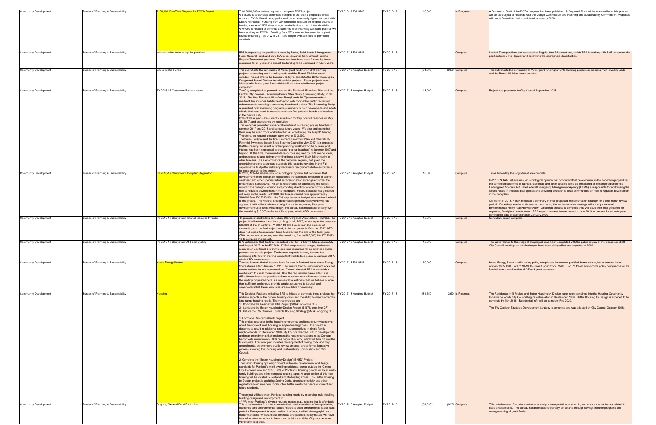| <b>Community Development</b> | Bureau of Planning & Sustainability | 88,000 One-Time Request for DOZA Project         | Total \$188,000 one-time request to complete DOZA project<br>\$118,000 is to develop schematic designs to test staff's proposals which<br>occurs in FY18-19 and being performed under an already signed contract with<br>DECA Architects. Funding from GF is needed because the original source of<br>funding - an IA w/ BDS - is no longer available due to permit fee shortfalls.<br>•\$70,000 is needed to continue a currently filled Planning Assistant position we<br>have working on DOZA. Funding from GF is needed because the original<br>source of funding - an IA w/ BDS - is no longer available due to permit fee<br>shortfalls.                                                                                                                                                                                                                                                                                                                                                                                                                                                                                                                                                                                                                                                                                                                                                                                                                                                                                                                                                                                                                                                                                                                                                                                                                                                                                                                                                                                                                                                                  | Y 2018-19 Fall BMP        | FY 2018-19 | 118,000   | In Progress       | A Discussion Draft of the DOZA proposal has been published. A Proposed Draft will be released later this year a<br>will be the subject of hearings with the Design Commission and Planning and Sustainability Commission. Propo:<br>will reach Council for their consideration in early 2020.                                                                                                                                                                                                                                                                                                                                                                                                                                                                                                                                                                                                                                                                                            |
|------------------------------|-------------------------------------|--------------------------------------------------|-----------------------------------------------------------------------------------------------------------------------------------------------------------------------------------------------------------------------------------------------------------------------------------------------------------------------------------------------------------------------------------------------------------------------------------------------------------------------------------------------------------------------------------------------------------------------------------------------------------------------------------------------------------------------------------------------------------------------------------------------------------------------------------------------------------------------------------------------------------------------------------------------------------------------------------------------------------------------------------------------------------------------------------------------------------------------------------------------------------------------------------------------------------------------------------------------------------------------------------------------------------------------------------------------------------------------------------------------------------------------------------------------------------------------------------------------------------------------------------------------------------------------------------------------------------------------------------------------------------------------------------------------------------------------------------------------------------------------------------------------------------------------------------------------------------------------------------------------------------------------------------------------------------------------------------------------------------------------------------------------------------------------------------------------------------------------------------------------------------------|---------------------------|------------|-----------|-------------------|------------------------------------------------------------------------------------------------------------------------------------------------------------------------------------------------------------------------------------------------------------------------------------------------------------------------------------------------------------------------------------------------------------------------------------------------------------------------------------------------------------------------------------------------------------------------------------------------------------------------------------------------------------------------------------------------------------------------------------------------------------------------------------------------------------------------------------------------------------------------------------------------------------------------------------------------------------------------------------------|
| <b>Community Development</b> | Bureau of Planning & Sustainability | convert limited-term to regular positions        | BPS is requesting the positions funded by Metro, Solid Waste Management<br>Fund, General Fund, and BDS IAA to be converted from Limited Term to<br>Regular/Permanent positions. These positions have been funded by these<br>esources for 3+ years and expect the funding to be continued in future years.                                                                                                                                                                                                                                                                                                                                                                                                                                                                                                                                                                                                                                                                                                                                                                                                                                                                                                                                                                                                                                                                                                                                                                                                                                                                                                                                                                                                                                                                                                                                                                                                                                                                                                                                                                                                      | FY 2017-18 Fall BMP       | FY 2017-18 |           | Complete          | Limited-Term positions are converted to Regular thru P4 except one, which BPS is working with BHR to convert<br>position from LT to Regular and determine the appropriate classification.                                                                                                                                                                                                                                                                                                                                                                                                                                                                                                                                                                                                                                                                                                                                                                                                |
| <b>Community Development</b> | Bureau of Planning & Sustainability | End of Metro Funds                               | This cut reflects the conclusion of Metro grant funding for BPS planning<br>projects addressing multi-dwelling code and the Powell-Division transit<br>corridor. This cut affects the bureau's ability to complete the Better Housing by<br>Design and Powell-Division transit corridor projects. These projects were<br>nitiated with Metro grant funds which will be exhausted before project                                                                                                                                                                                                                                                                                                                                                                                                                                                                                                                                                                                                                                                                                                                                                                                                                                                                                                                                                                                                                                                                                                                                                                                                                                                                                                                                                                                                                                                                                                                                                                                                                                                                                                                 | Y 2017-18 Adopted Budget  | FY 2017-18 | (61, 806) | $(0.50)$ Complete | This cut reflects the conclusion of Metro grant funding for BPS planning projects addressing multi-dwelling code<br>and the Powell-Division transit corridor.                                                                                                                                                                                                                                                                                                                                                                                                                                                                                                                                                                                                                                                                                                                                                                                                                            |
| <b>Community Development</b> | Bureau of Planning & Sustainability | FY 2016-17 Carryover: Beach Access               | <i>mpletion</i><br>The City completed its planned work on the Eastbank Riverfront Plan and the<br>Central City Potential Swimming Beach Sites Study (Swimming Study) in fall<br>2016. The final Eastbank Riverfront Plan (March 2017) recommends a<br>riverfront that includes habitat restoration with compatible public recreation<br>enhancements including a swimming beach and a dock. The Swimming Study<br>esearched river swimming programs elsewhere to help develop site and safety<br>criteria that were used to evaluate and rank five potential beach site locations<br>in the Central City.<br>Both of these plans are currently scheduled for City Council hearings on May<br>31, 2017, and acceptance by resolution.<br>This work has generated considerable interest in creating pop up beaches in<br>summer 2017 and 2018 and perhaps future years. We also anticipate that<br>there may be even more work identified at, or following, the May 31 hearing.<br>Therefore, we request program carry over of \$13,000.<br>The bureau will present the final Eastbank Riverfront Plan and Central City<br>Potential Swimming Beach Sites Study to Council in May 2017. It is expected<br>that this hearing will result in further planning workload for the bureau, and<br>interest has been expressed in creating "pop up beaches" in Summer 2017 and<br>beyond. At this time, the immediate resources required by BPS are not clear,<br>and expenses related to implementing these sites will likely fall primarily to<br>other bureaus. CBO recommends the carryover request, but given the<br>uncertainty around expenses, suggests this issue be revisited in the Fall<br>supplemental budget to make any necessary realignments between bureaus                                                                                                                                                                                                                                                                                                                                            | Y 2017-18 Adopted Budget  | FY 2017-18 | 13,000    | Complete          | Project was presented to City Council September 2018.                                                                                                                                                                                                                                                                                                                                                                                                                                                                                                                                                                                                                                                                                                                                                                                                                                                                                                                                    |
| <b>Community Development</b> | Bureau of Planning & Sustainability | Y 2016-17 Carryover: Floodplain Regulation       | or costs related to this project<br>In 2016, NOAA Fisheries issued a biological opinion that concluded that<br>development in the floodplain jeopardizes the continued existence of salmon,<br>steelhead and other species listed as threatened or endangered under the<br>Endangered Species Act. FEMA is responsible for addressing the issues<br>raised in the biological opinion and providing direction to local communities on<br>how to regulate development in the floodplain. FEMA indicated that guidance<br>will likely not be ready until 2018. The bureau carried over approximately<br>\$16,000 from FY 2015-16 in the Fall supplemental budget for a contract related<br>to this project. The Federal Emergency Management Agency (FEMA) has<br>signaled that it will not release local guidance for regulating floodplain<br>development until 2018. Accordingly, the bureau has requested to carry over<br>the remaining \$10,000 to the next fiscal year, which CBO recommends.                                                                                                                                                                                                                                                                                                                                                                                                                                                                                                                                                                                                                                                                                                                                                                                                                                                                                                                                                                                                                                                                                                               | Y 2017-18 Adopted Budget  | FY 2017-18 | 10,000    | Complete          | asks funded by this adjustment are complete.<br>In 2016, NOAA Fisheries issued a biological opinion that concluded that development in the floodplain jeopardiz<br>the continued existence of salmon, steelhead and other species listed as threatened or endangered under the<br>Endangered Species Act. The Federal Emergency Management Agency (FEMA) is responsible for addressing<br>issues raised in the biological opinion and providing direction to local communities on how to regulate developm<br>in the floodplain.<br>On March 5, 2018, FEMA released a summary of their proposed implementation strategy for a one-month review<br>period. Once they receive and consider comments, the implementation strategy will undergo National<br>Environmental Policy Act (NEPA) review. Once that process is complete they will issue their final guidance for<br>regulating floodplain development. BPS expects to need to use these funds in 2019 to prepare for an anticipate |
| <b>Community Development</b> | Bureau of Planning & Sustainability | FY 2016-17 Carryover: Historic Resource Inventor | In process of contracting consultant (Convergence Architecture - MWBE). The<br>project timeline takes them through August 31, 2017, so we expect to carryover<br>\$15,000 of the \$49,000 to FY 2017-18. The bureau is in the process of<br>contracting out the final project work, to be completed in Summer 2017. BPS<br>does not expect to encumber these funds before the end of the fiscal year.<br>CBO recommends carrying over the remaining funds (\$15,000) into FY 2017-                                                                                                                                                                                                                                                                                                                                                                                                                                                                                                                                                                                                                                                                                                                                                                                                                                                                                                                                                                                                                                                                                                                                                                                                                                                                                                                                                                                                                                                                                                                                                                                                                              | FY 2017-18 Adopted Budget | FY 2017-18 | 15,000    | Complete          | compliance date of approximately January 2020.<br>Consultant report complete                                                                                                                                                                                                                                                                                                                                                                                                                                                                                                                                                                                                                                                                                                                                                                                                                                                                                                             |
| <b>Community Development</b> | Bureau of Planning & Sustainability | FY 2016-17 Carryover: Off-Road Cycling           | 18 to complete the project<br>BPS anticipates that the final consultant work for ~\$15k will take place in July<br>and August 2017. In the FY 2016-17 Fall supplemental budget, the bureau<br>eceived an additional \$40,000 in one-time resources for an extended public<br>process around this project. The bureau requests to carry forward the<br>emaining \$15,000 for the final consultant work to take place in Summer 2017.                                                                                                                                                                                                                                                                                                                                                                                                                                                                                                                                                                                                                                                                                                                                                                                                                                                                                                                                                                                                                                                                                                                                                                                                                                                                                                                                                                                                                                                                                                                                                                                                                                                                             | Y 2017-18 Adopted Budget  | FY 2017-18 | 15,000    | Complete          | The tasks related to this stage of the project have been completed with the public review of the discussion draft.<br>City Council hearings on the final report have been delayed but are expected in 2019.                                                                                                                                                                                                                                                                                                                                                                                                                                                                                                                                                                                                                                                                                                                                                                              |
| <b>Community Development</b> | Bureau of Planning & Sustainability | <b>Home Energy Scores</b>                        | hich CBO recommends.<br>The requirement that all houses listed for sale in Portland have Home Energy<br>Scores takes effect January 1, 2018. To ensure that this requirement does not<br>create barriers for low-income sellers, Council directed BPS to establish a<br>mechanism to assist those sellers. Until the requirement takes effect, it is<br>difficult to estimate the possible volume of sellers who will request assistance;<br>the funding requested here is a conservative estimate that we believe is more<br>than sufficient and should provide ample assurance to Council and<br>stakeholders that these resources are available if necessary.                                                                                                                                                                                                                                                                                                                                                                                                                                                                                                                                                                                                                                                                                                                                                                                                                                                                                                                                                                                                                                                                                                                                                                                                                                                                                                                                                                                                                                                | Y 2017-18 Fall BMP        | FY 2017-18 | 150,000   | Complete          | Home Energy Score is still funding policy compliance for income qualified home sellers, but at a much lower<br>amount (\$15,000). For FY 18-19, this was funded from SWMF. For FY 19-20, low-income policy compliance will<br>funded from a combination of GF and grant carryover.                                                                                                                                                                                                                                                                                                                                                                                                                                                                                                                                                                                                                                                                                                       |
| <b>Community Development</b> | Bureau of Planning & Sustainability | lousing                                          | This Decision Package will allow BPS to initiate or complete three projects that FY 2017-18 Adopted Budget<br>address aspects of the current housing crisis and the ability to meet Portland's<br>ong-range housing needs. The three projects are:<br>Complete the Residential Infill Project (\$387k, one-time GF)<br>Complete the Better Housing by Design Project (\$197k, one-time GF)<br>. Initiate the SW Corridor Equitable Housing Strategy (\$172k, on-going GF)<br>. Complete Residential Infill Project<br>This project responds to the housing emergency and to community concerns<br>about the scale of in-fill housing in single-dwelling zones. The project is<br>designed to result in additional smaller housing options in single family<br>neighborhoods. In December 2016 City Council directed BPS to develop code<br>and map amendments that implement the recommendations in the Concept<br>Report with amendments. BPS has begun this work, which will take 18 months<br>to complete. The work plan includes development of zoning code and map<br>amendments, an extensive public review process, and a formal legislative<br>process involving the Planning and Sustainability Commission and City<br>Council.<br>2. Complete the "Better Housing by Design" (BHBD) Project<br>The Better Housing by Design project will revise development and design<br>standards for Portland's multi-dwelling residential zones outside the Central<br>City. Between now and 2035, 80% of Portland's housing growth will be in multi-<br>family buildings and other compact housing types. A large portion of this new<br>housing will be located in Portland's multi-dwelling zones. The Better Housing<br>by Design project is updating Zoning Code, street connectivity and other<br>regulations to ensure new construction better meets the needs of current and<br>future residents.<br>The project will help meet Portland housing needs by improving multi-dwelling<br>building design and development to:<br>Help meet Portland's diverse housing needs, e.g., housing that is affordable |                           | FY 2017-18 | 584,350   | 3.50 In Progress  | The Residential Infill Project and Better Housing by Design have been combined into the Housing Opportunity<br>Initiative on which City Council begins deliberation in September 2019. Better Housing by Design is expeced to<br>complete by Nov 2019. Residential Infill will be complete Feb 2020.<br>The SW Corridor Equitable Development Strategy is complete and was adopted by City Council October 2018.                                                                                                                                                                                                                                                                                                                                                                                                                                                                                                                                                                         |
| <b>Community Development</b> | Bureau of Planning & Sustainability | Ongoing General Fund Reduction                   | This cut eliminates funds for contracts that provide analysis of transportation,<br>economic, and environmental issues related to code amendments. It also cuts<br>part of a Management Analyst position that has provided demographic and<br>housing analysis. Without these contracts and position, policymakers will have<br>ess information on which to base their decisions and the City may be more<br>ulnerable to appeal.                                                                                                                                                                                                                                                                                                                                                                                                                                                                                                                                                                                                                                                                                                                                                                                                                                                                                                                                                                                                                                                                                                                                                                                                                                                                                                                                                                                                                                                                                                                                                                                                                                                                               | FY 2017-18 Adopted Budget | FY 2017-18 | (81,038)  | $(0.25)$ Complete | This cut eliminated funds for contracts to analyze transportation, economic, and environmental issues related to<br>code amendments. The bureau has been able to partially off-set this through savings in other programs and<br>reprogramming of grant funds.                                                                                                                                                                                                                                                                                                                                                                                                                                                                                                                                                                                                                                                                                                                           |

| FY 2018-19 Fall BMP       | FY 2018-19 | 118,000   |        | In Progress       | A Discussion Draft of the DOZA proposal has been published. A Proposed Draft will be released later this year and<br>will be the subject of hearings with the Design Commission and Planning and Sustainability Commission. Proposals<br>will reach Council for their consideration in early 2020.                                                                                                                                                                                                                                                                                                                                                                                                                                                                                                                                                                                                                                                                                                 |
|---------------------------|------------|-----------|--------|-------------------|----------------------------------------------------------------------------------------------------------------------------------------------------------------------------------------------------------------------------------------------------------------------------------------------------------------------------------------------------------------------------------------------------------------------------------------------------------------------------------------------------------------------------------------------------------------------------------------------------------------------------------------------------------------------------------------------------------------------------------------------------------------------------------------------------------------------------------------------------------------------------------------------------------------------------------------------------------------------------------------------------|
| FY 2017-18 Fall BMP       | FY 2017-18 | ÷,        | $\sim$ | Complete          | Limited-Term positions are converted to Regular thru P4 except one, which BPS is working with BHR to convert the<br>position from LT to Regular and determine the appropriate classification.                                                                                                                                                                                                                                                                                                                                                                                                                                                                                                                                                                                                                                                                                                                                                                                                      |
| FY 2017-18 Adopted Budget | FY 2017-18 | (61, 806) |        | $(0.50)$ Complete | This cut reflects the conclusion of Metro grant funding for BPS planning projects addressing multi-dwelling code<br>and the Powell-Division transit corridor.                                                                                                                                                                                                                                                                                                                                                                                                                                                                                                                                                                                                                                                                                                                                                                                                                                      |
| FY 2017-18 Adopted Budget | FY 2017-18 | 13,000    |        | Complete          | Project was presented to City Council September 2018.                                                                                                                                                                                                                                                                                                                                                                                                                                                                                                                                                                                                                                                                                                                                                                                                                                                                                                                                              |
| FY 2017-18 Adopted Budget | FY 2017-18 | 10,000    |        | Complete          | Tasks funded by this adjustment are complete.<br>In 2016, NOAA Fisheries issued a biological opinion that concluded that development in the floodplain jeopardizes<br>he continued existence of salmon, steelhead and other species listed as threatened or endangered under the<br>Endangered Species Act. The Federal Emergency Management Agency (FEMA) is responsible for addressing the<br>issues raised in the biological opinion and providing direction to local communities on how to regulate development<br>in the floodplain.<br>On March 5, 2018, FEMA released a summary of their proposed implementation strategy for a one-month review<br>period. Once they receive and consider comments, the implementation strategy will undergo National<br>Environmental Policy Act (NEPA) review. Once that process is complete they will issue their final guidance for<br>regulating floodplain development. BPS expects to need to use these funds in 2019 to prepare for an anticipated |
| FY 2017-18 Adopted Budget | FY 2017-18 | 15,000    |        | Complete          | compliance date of approximately January 2020.<br>Consultant report complete                                                                                                                                                                                                                                                                                                                                                                                                                                                                                                                                                                                                                                                                                                                                                                                                                                                                                                                       |
| FY 2017-18 Adopted Budget | FY 2017-18 | 15,000    |        | Complete          | The tasks related to this stage of the project have been completed with the public review of the discussion draft.<br>City Council hearings on the final report have been delayed but are expected in 2019.                                                                                                                                                                                                                                                                                                                                                                                                                                                                                                                                                                                                                                                                                                                                                                                        |
| FY 2017-18 Fall BMP       | FY 2017-18 | 150,000   |        | Complete          | Home Energy Score is still funding policy compliance for income qualified home sellers, but at a much lower<br>amount (\$15,000). For FY 18-19, this was funded from SWMF. For FY 19-20, low-income policy compliance will be<br>funded from a combination of GF and grant carryover.                                                                                                                                                                                                                                                                                                                                                                                                                                                                                                                                                                                                                                                                                                              |
| FY 2017-18 Adopted Budget | FY 2017-18 | 584,350   |        | 3.50 In Progress  | The Residential Infill Project and Better Housing by Design have been combined into the Housing Opportunity<br>initiative on which City Council begins deliberation in September 2019. Better Housing by Design is expeced to be<br>complete by Nov 2019. Residential Infill will be complete Feb 2020.<br>The SW Corridor Equitable Development Strategy is complete and was adopted by City Council October 2018.                                                                                                                                                                                                                                                                                                                                                                                                                                                                                                                                                                                |
| FY 2017-18 Adopted Budget | FY 2017-18 | (81, 038) |        | $(0.25)$ Complete | This cut eliminated funds for contracts to analyze transportation, economic, and environmental issues related to<br>code amendments. The bureau has been able to partially off-set this through savings in other programs and                                                                                                                                                                                                                                                                                                                                                                                                                                                                                                                                                                                                                                                                                                                                                                      |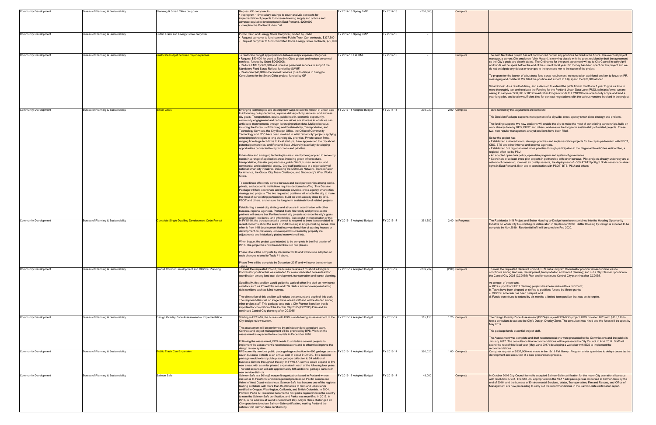| <b>Community Development</b> | Bureau of Planning & Sustainability | Planning & Smart Cities carryover                | Request GF carryover to                                                                                                                                                                                                                                                                                                                                                                                                                                                                                                                                                                                                                                                                                                                                                                                                                                                                                                                                                                                                                                                   | Y 2017-18 Spring BMP     | Y 2017-18  | (268, 500) | Complete          |                                                                                                                                                                                                                                                                                                                                                                                                                                                                                                                                                                                                                                                                                                                                                                                                                                                                                                                                                                                                                                                 |
|------------------------------|-------------------------------------|--------------------------------------------------|---------------------------------------------------------------------------------------------------------------------------------------------------------------------------------------------------------------------------------------------------------------------------------------------------------------------------------------------------------------------------------------------------------------------------------------------------------------------------------------------------------------------------------------------------------------------------------------------------------------------------------------------------------------------------------------------------------------------------------------------------------------------------------------------------------------------------------------------------------------------------------------------------------------------------------------------------------------------------------------------------------------------------------------------------------------------------|--------------------------|------------|------------|-------------------|-------------------------------------------------------------------------------------------------------------------------------------------------------------------------------------------------------------------------------------------------------------------------------------------------------------------------------------------------------------------------------------------------------------------------------------------------------------------------------------------------------------------------------------------------------------------------------------------------------------------------------------------------------------------------------------------------------------------------------------------------------------------------------------------------------------------------------------------------------------------------------------------------------------------------------------------------------------------------------------------------------------------------------------------------|
|                              |                                     |                                                  | reprogram 1-time salary savings to cover analysis contracts for<br>mplementation of projects to increase housing supply and options and<br>advance equitable development in East Portland, \$200,000<br>complete the Portland Urban Dat                                                                                                                                                                                                                                                                                                                                                                                                                                                                                                                                                                                                                                                                                                                                                                                                                                   |                          |            |            |                   |                                                                                                                                                                                                                                                                                                                                                                                                                                                                                                                                                                                                                                                                                                                                                                                                                                                                                                                                                                                                                                                 |
| <b>Community Development</b> | Bureau of Planning & Sustainability | Public Trash and Energy Score carryover          | Public Trash and Energy Score Carryover, funded by SWMF<br>Request carryover to fund committed Public Trash Can contracts, \$337,500<br>Request carryover to fund committed Home Energy Score contracts, \$75,000                                                                                                                                                                                                                                                                                                                                                                                                                                                                                                                                                                                                                                                                                                                                                                                                                                                         | Y 2017-18 Spring BMP     | Y 2017-18  |            |                   |                                                                                                                                                                                                                                                                                                                                                                                                                                                                                                                                                                                                                                                                                                                                                                                                                                                                                                                                                                                                                                                 |
|                              |                                     |                                                  |                                                                                                                                                                                                                                                                                                                                                                                                                                                                                                                                                                                                                                                                                                                                                                                                                                                                                                                                                                                                                                                                           |                          |            |            |                   |                                                                                                                                                                                                                                                                                                                                                                                                                                                                                                                                                                                                                                                                                                                                                                                                                                                                                                                                                                                                                                                 |
| <b>Community Development</b> | Bureau of Planning & Sustainability | eallocate budget between major expenses          | To reallocate budget appropriations between major expense categories.<br>Request \$50,000 for grant to Zero Net Cities project and reduce personnel<br>services, funded by Grant SD000008.<br>Reduce EMS by \$70,000 and increase personnel services to support the<br>Mandatory Food Scrap Rollout, funded by SWMF.<br>Reallocate \$40,000 in Personnel Services (due to delays in hiring) to<br>Consultants for the Smart Cities project, funded by GF.                                                                                                                                                                                                                                                                                                                                                                                                                                                                                                                                                                                                                 | Y 2017-18 Fall BMF       | Y 2017-18  |            | Complete          | The Zero Net Cities project has not commenced nor will any positions be hired in the future. The eventual project<br>manager, a current City employee (Vinh Mason), is working closely with the grant recipient to draft the agreement<br>so the City's goals are clearly stated. The Ordinance for the grant agreement will go to City Council in early April<br>and funds will be spent before the end of the current fiscal year. No money has been spent on this project and we<br>do not anticipate any delays or changes to the grantees nor to the scope of the project.<br>To prepare for the launch of a business food scrap requirement, we needed an additional position to focus on PR,<br>messaging and collateral. We filled the position and expect to fully spend the \$70,000 allotted.<br>Smart Cities: As a result of delay, and a decision to extend the pilots from 6 months to 1 year to give us time to<br>more thoroughly test and evaluate the Funding for the Portland Urban Data Lake (PUDL) pilot platforms, we are |
|                              |                                     |                                                  |                                                                                                                                                                                                                                                                                                                                                                                                                                                                                                                                                                                                                                                                                                                                                                                                                                                                                                                                                                                                                                                                           |                          |            |            |                   | asking to carryover \$68,500 of BPS Smart Cities Program funds to FY18/19 to be able to fully scope and fund a<br>year long pilot, and to allow sufficient time for contract negotiations with the various vendors involved in the project.                                                                                                                                                                                                                                                                                                                                                                                                                                                                                                                                                                                                                                                                                                                                                                                                     |
| <b>Community Development</b> | Bureau of Planning & Sustainability | <b>Smart Cities</b>                              | Emerging technologies are creating new ways to use the wealth of urban data FY 2017-18 Adopted Budget<br>to inform key policy decisions, improve delivery of city services, and address<br>city goals. Transportation, equity, public health, economic opportunity,<br>community engagement and carbon emissions are all areas in which we can<br>anticipate improvements through leveraging urban data. Multiple bureaus,<br>including the Bureaus of Planning and Sustainability, Transportation, and<br>Technology Services, the City Budget Office, the Office of Community<br>Technology and PDC have been involved in initial "smart city" projects applying<br>emerging technologies to long-standing city priorities. Private-sector firms,<br>ranging from large tech firms to local startups, have approached the city about<br>potential partnerships, and Portland State University is actively developing<br>opportunities connected to city functions and priorities.<br>Urban data and emerging technologies are currently being applied to serve city     |                          | FY 2017-18 | 236,039    | 2.00 Complete     | Tasks funded by this adjustment are complete.<br>This Decision Package supports management of a citywide, cross-agency smart cities strategy and projects.<br>The funding supports two new positions will enable the city to make the most of our existing partnerships, build on<br>work already done by BPS, PBOT and others, and ensure the long-term sustainability of related projects. These<br>two, new regular management analyst positions have been filled.<br>So far the project has:<br>. Established a shared vision, strategic priorities and implementation projects for the city in partnership with PBOT,<br>CBO, BTS and other internal and external agencies.<br>• Established 3-5 regional smart cities priorities through participation in the Regional Smart Cities Action Plan, a<br>regional effort led by PSU.<br>• An adopted open data policy, open data program and system of governance.                                                                                                                           |
|                              |                                     |                                                  | needs in a range of application areas including green infrastructure,<br>transportation, disaster preparedness, public Wi-Fi, human services, and<br>commercial and residential energy. City staff participate in a wide variety of<br>national smart city initiatives, including the MetroLab Network, Transportation<br>for America, the Global City Team Challenge, and Bloomberg's What Works<br>Cities.<br>To coordinate effectively across bureaus and build partnerships among public,<br>private, and academic institutions requires dedicated staffing. This Decision<br>Package will help coordinate and manage citywide, cross-agency smart cities<br>strategy and projects. The two requested positions will enable the city to make<br>the most of our existing partnerships, build on work already done by BPS,<br>PBOT and others, and ensure the long-term sustainability of related projects.<br>Establishing a smart city strategy and structure in coordination with other<br>bureaus, regional agencies, Portland State University and private-sector |                          |            |            |                   | • Coordinate of at least three pilot projects in partnership with other bureaus. Pilot projects already underway are a<br>network of connected, low-cost air quality sensors, the deployment of ~300 AT&T Spotlight Node sensors on street<br>lights in East Portland. Both are in coordination with PBOT, BTS, PSU and others.                                                                                                                                                                                                                                                                                                                                                                                                                                                                                                                                                                                                                                                                                                                 |
|                              |                                     |                                                  | partners will ensure that Portland smart city projects advance the city's goals<br>around equity, resiliency, and affordability. Successful implementation of this                                                                                                                                                                                                                                                                                                                                                                                                                                                                                                                                                                                                                                                                                                                                                                                                                                                                                                        |                          |            |            |                   |                                                                                                                                                                                                                                                                                                                                                                                                                                                                                                                                                                                                                                                                                                                                                                                                                                                                                                                                                                                                                                                 |
| <b>Community Development</b> | Bureau of Planning & Sustainability | omplete Single-Dwelling Development Code Project | In FY15-16, the bureau started a project to respond to three issues related to<br>recent concerns about the scale of in-fill housing in single-dwelling zones. This<br>often is from infill development that involves demolition of existing houses or<br>development on previously undeveloped lots created by property ine<br>adjustments and historically platted narrow/small lots.<br>When begun, the project was intended to be complete in the first quarter of<br>2017. The project has now been broken into two phases.<br>Phase One will be complete by December 2016 and will include adoption of<br>code changes related to Topic #1 above.<br>Phase Two will be complete by December 2017 and will cover the other two                                                                                                                                                                                                                                                                                                                                       | Y 2016-17 Adopted Budget | Y 2016-17  | 361,380    | 2.40 In Progress  | The Residential Infill Project and Better Housing by Design have been combined into the Housing Opportunity<br>Initiative on which City Council begins deliberation in September 2019. Better Housing by Design is expeced to be<br>complete by Nov 2019. Residential Infill will be complete Feb 2020.                                                                                                                                                                                                                                                                                                                                                                                                                                                                                                                                                                                                                                                                                                                                         |
| <b>Community Development</b> | Bureau of Planning & Sustainability | Transit Corridor Development and CC2035 Planning | To meet the requested 5% cut, the bureau believes it must cut a Program<br>Coordinator position that was intended for a new dedicated bureau lead for<br>coordination among land use, development, transportation and transit planning.<br>Specifically, this position would guide the work of other line staff on new transit<br>corridors such as Powell/Division and SW Barbur and redevelopment along<br>civic corridors such as 82nd Avenue.<br>The elimination of this position will reduce the amount and depth of this work.<br>The responsibilities will no longer have a lead staff and will be divided among<br>other project staff. This package also cuts a City Planner I position that is<br>important for completion of the Central City 2035 (CC2035) Plan and for<br>continued Central City planning after CC2035.                                                                                                                                                                                                                                      | Y 2016-17 Adopted Budget | Y 2016-17  | (209, 232) | $(2.00)$ Complete | To meet the requested General Fund cut, BPS cut a Program Coordinator position whose function was to<br>coordinate among land use, development, transportation and transit planning; and cut a City Planner I position in<br>the Central City 2035 (CC2035) Plan and for continued Central City planning after CC2035.<br>As a result of these cuts,<br>a. BPS support for PBOT planning projects has been reduced to a minimum;<br>b. Tasks have been dropped or shifted to positions funded by Metro grants;<br>c. CC2035 schedule has been delayed, and<br>d. Funds were found to extend by six months a limited-term position that was set to expire.                                                                                                                                                                                                                                                                                                                                                                                       |
| <b>Community Development</b> | Bureau of Planning & Sustainability | Design Overlay Zone Assessment - Implementation  | Starting in FY15-16, the bureau with BDS is undertaking an assessment of the FY 2016-17 Adopted Budget<br>City design review system.<br>The assessment will be performed by an independent consultant team.<br>Contract and project management will be provided by BPS. Work on the<br>assessment is expected to be complete in December 2016.<br>Following the assessment, BPS needs to undertake several projects to                                                                                                                                                                                                                                                                                                                                                                                                                                                                                                                                                                                                                                                    |                          | Y 2016-17  | 115,110    | 1.25 Complete     | The Design Overlay Zone Assessment (DOZA) is a joint BPS-BDS project. BDS provided BPS with \$115,110 to<br>hire a consultant to assess the City's Design Overlay Zone. The consultant was hired and the funds will be spent by<br>May 2017.<br>This package funds essential project staff.<br>The Assessment was complete and draft recommendations were presented to the Commissions and the public in<br>January 2017. The consultant's final recommendations will be presented to City Council in April 2017. Staff will                                                                                                                                                                                                                                                                                                                                                                                                                                                                                                                    |
|                              |                                     |                                                  | implement the assessment's recommendations and to otherwise improve the<br>lesign review system.                                                                                                                                                                                                                                                                                                                                                                                                                                                                                                                                                                                                                                                                                                                                                                                                                                                                                                                                                                          |                          |            |            |                   | spend the rest of this fiscal year (May-June 2017) developing a workplan with BDS to implement the<br>recommendations.                                                                                                                                                                                                                                                                                                                                                                                                                                                                                                                                                                                                                                                                                                                                                                                                                                                                                                                          |
| <b>Community Development</b> | Bureau of Planning & Sustainability | <b>Public Trash Can Expansion</b>                | BPS currently provides public place garbage collection for 600 garbage cans in FY 2016-17 Adopted Budget<br>seven business districts at an annual cost of about \$400,000. This decision<br>package would extend public place garbage collection to 24 additional<br>business districts throughout the city. In FY16-17, service would expand to five<br>new areas, with a similar phased expansion in each of the following four years.<br>The total expansion will add approximately 825 additional garbage cans in 24<br>new service districts.                                                                                                                                                                                                                                                                                                                                                                                                                                                                                                                        |                          | FY 2016-17 | 380,020    | 1.00 Complete     | Carryover request of \$337,500 was made in the 18/19 Fall Bump. Program under spent due to delays cause by the<br>development and execution of a new procurement process.                                                                                                                                                                                                                                                                                                                                                                                                                                                                                                                                                                                                                                                                                                                                                                                                                                                                       |
| <b>Community Development</b> | Bureau of Planning & Sustainability | Salmon Safe                                      | Salmon-Safe is a 501(c)3 nonprofit organization based in Portland whose<br>mission is to transform land management practices so Pacific salmon can<br>thrive in West Coast watersheds. Salmon-Safe has become one of the region's<br>leading ecolabels with more than 95,000 acres of farm and urban lands<br>certified in Oregon, Washington, California, and British Columbia. In 2004,<br>Portland Parks & Recreation became the first parks organization in the country<br>to earn the Salmon-Safe certification, and Parks was recertified in 2012. In<br>2013, in his address at World Environment Day, Mayor Hales challenged all<br>City operations to obtain Salmon-Safe certification, making Portland the<br>nation's first Salmon-Safe certified city.                                                                                                                                                                                                                                                                                                        | Y 2016-17 Adopted Budget | FY 2016-17 | 48,000     | Complete          | In October 2016 City Council formally accepted Salmon-Safe certification for the major City operational bureaus<br>with resolution 37244. The \$48,000 appropriated in the 16-17 add package was disbursed to Salmon-Safe by the<br>end of 2016, and the bureaus of Environmental Services, Water, Transportation, Fire and Rescue, and Office of<br>Management are now proceeding to carry out the recommendations in the Salmon-Safe certification report.                                                                                                                                                                                                                                                                                                                                                                                                                                                                                                                                                                                    |

#### Tasks funded by this adjustment are complete.

- 
- a. BPS support for PBOT planning projects has been reduced to a minimum;<br>b. Tasks have been dropped or shifted to positions funded by Metro grants;<br>c. CC2035 schedule has been delayed, and<br>d. Funds were found to extend by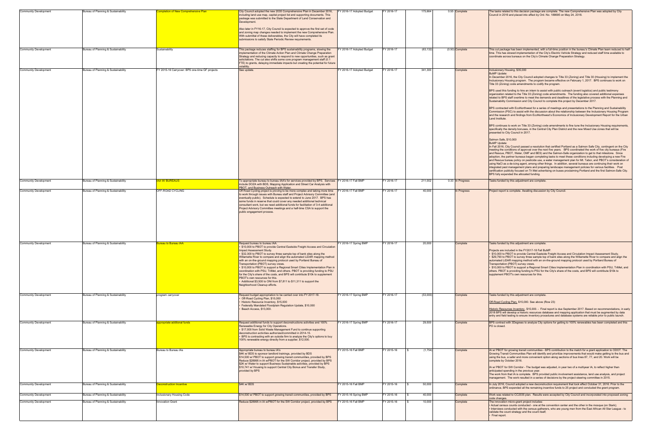| <b>Community Development</b>                                 | Bureau of Planning & Sustainability                                        | <b>Impletion of New Comprehensive Plan</b>     | City Council adopted the new 2035 Comprehensive Plan in December 2016,<br>including land use map, capital project list and supporting documents. This<br>package was submitted to the State Department of Land Conservation and<br>Development.<br>Also later in FY16-17, City Council is expected to approve the first set of code<br>and zoning map changes needed to implement the new Comprehensive Plan.<br>With submittal of these deliverables, the City will have completed its<br>submissions to satisfy State Periodic Review requirements.                                                                                                                                                                                                                                                | FY 2016-17 Adopted Budget                   | Y 2016-17              | 175,664          | 0.55 Complete        | The tasks related to this decision package are complete. The new Comprehensive Plan was adopted by City<br>Council in 2016 and placed into effect by Ord. No. 188695 on May 24, 2018.                                                                                                                                                                                                                                                                                                                                                                                                                                                                                                                                                                                                                                                                                                                                                                                                                                                                                                                                                                                                                                                                                                                                                                                                                                                                                                                                                                                                                                                                                                                                                                                                                                                                                                                                                                                                                                                                                                                                                                                                                                                                                                                                                                                                                                                                                                   |
|--------------------------------------------------------------|----------------------------------------------------------------------------|------------------------------------------------|------------------------------------------------------------------------------------------------------------------------------------------------------------------------------------------------------------------------------------------------------------------------------------------------------------------------------------------------------------------------------------------------------------------------------------------------------------------------------------------------------------------------------------------------------------------------------------------------------------------------------------------------------------------------------------------------------------------------------------------------------------------------------------------------------|---------------------------------------------|------------------------|------------------|----------------------|-----------------------------------------------------------------------------------------------------------------------------------------------------------------------------------------------------------------------------------------------------------------------------------------------------------------------------------------------------------------------------------------------------------------------------------------------------------------------------------------------------------------------------------------------------------------------------------------------------------------------------------------------------------------------------------------------------------------------------------------------------------------------------------------------------------------------------------------------------------------------------------------------------------------------------------------------------------------------------------------------------------------------------------------------------------------------------------------------------------------------------------------------------------------------------------------------------------------------------------------------------------------------------------------------------------------------------------------------------------------------------------------------------------------------------------------------------------------------------------------------------------------------------------------------------------------------------------------------------------------------------------------------------------------------------------------------------------------------------------------------------------------------------------------------------------------------------------------------------------------------------------------------------------------------------------------------------------------------------------------------------------------------------------------------------------------------------------------------------------------------------------------------------------------------------------------------------------------------------------------------------------------------------------------------------------------------------------------------------------------------------------------------------------------------------------------------------------------------------------------|
| <b>Community Development</b>                                 | Bureau of Planning & Sustainability                                        | Sustainability                                 | This package reduces staffing for BPS sustainability programs, slowing the<br>nplementation of the Climate Action Plan and Climate Change Preparation<br>Strategy and reducing capacity to respond to new opportunities, such as grant<br>solicitations. The cut also shifts some core program management staff (0.1<br>FTE) to grants, delaying immediate impacts but creating the potential for future                                                                                                                                                                                                                                                                                                                                                                                             | Y 2016-17 Adopted Budget                    | FY 2016-17             | (63, 132)        | $(0.50)$ Complete    | This cut package has been implemented, with a full-time position in the bureau's Climate Plan team reduced to ha<br>time. This has slowed implementation of the City's Electric Vehicle Strategy and reduced staff time available to<br>coordinate across bureaus on the City's Climate Change Preparation Strategy.                                                                                                                                                                                                                                                                                                                                                                                                                                                                                                                                                                                                                                                                                                                                                                                                                                                                                                                                                                                                                                                                                                                                                                                                                                                                                                                                                                                                                                                                                                                                                                                                                                                                                                                                                                                                                                                                                                                                                                                                                                                                                                                                                                    |
| <b>Community Development</b>                                 | Bureau of Planning & Sustainability                                        | FY 2015-16 Carryover: BPS one-time GF projects | olatility.<br>See update.                                                                                                                                                                                                                                                                                                                                                                                                                                                                                                                                                                                                                                                                                                                                                                            | Y 2016-17 Adopted Budget                    | Y 2016-17              | 341,300          | Complete             | Inclusionary Housing, \$35,000<br><b>BuMP Update:</b><br>In December 2016, the City Council adopted changes to Title 33 (Zoning) and Title 30 (Housing) to implement the<br>Inclusionary Housing program. The program became effective on February 1, 2017. BPS continues to work on<br>Title 33 (Zoning) code amendments to codify the program.<br>BPS used this funding to hire an intern to assist with public outreach (event logistics) and public testimony<br>organization related to the Title 33 (Zoning) code amendments. The funding also covered additional expenses<br>related to BPS staff overtime to meet the demands and deadlines of the legislative process with the Planning and<br>Sustainability Commission and City Council to complete this project by December 2017.<br>BPS contracted with EcoNorthwest for a series of meetings and presentations to the Planning and Sustainability<br>Commission (PSC) to assist with the discussion about the relationship between the Inclusionary Housing Program<br>and the research and findings from EcoNorthwest's Economics of Inclusionary Development Report for the Urban<br>Land Institute.<br>BPS continues to work on Title 33 (Zoning) code amendments to fine tune the Inclusionary Housing requirements,<br>specifically the density bonuses, in the Central City Plan District and the new Mixed Use zones that will be<br>presented to City Council in 2017.<br>Salmon Safe, \$10,000<br><b>BuMP Update:</b><br>In Fall 2016, City Council passed a resolution that certified Portland as a Salmon Safe City, contingent on the City<br>meeting the conditions of approval over the next five vears. BPS coordinated the work of five city bureaus (Fire<br>and Rescue, PBOT, Water, OMF and BES) and the Salmon-Safe organization to get to that milestone. Since<br>adoption, the partner bureaus began completing tasks to meet these conditions including developing a new Fire<br>and Rescue bureau policy on pesticide use, a water management plan for Mt. Tabor, and PBOT's consideration of<br>using NaCl as a de-icing agent, among other things. In addition, several bureaus are continuing their work on<br>integrated pest management plans and preparing landscape management policies for various facilities.  Post<br>certification publicity focused on Tri Met advertising on buses proclaiming Portland and the first Salmon-Safe City<br>BPS fully expended the allocated funding. |
| <b>Community Development</b>                                 | Bureau of Planning & Sustainability                                        | <b>IAA W/ BUREAUS</b>                          | o appropriate bureau to bureau IAA's for services provided by BPS. Services FY 2016-17 Fall BMP<br>include DOZA with BDS, Mapping Application and Street Car Analysis with                                                                                                                                                                                                                                                                                                                                                                                                                                                                                                                                                                                                                           |                                             | Y 2016-17              | 211,002          | 0.33 In Progress     | Tasks funded by this adjustment are complete                                                                                                                                                                                                                                                                                                                                                                                                                                                                                                                                                                                                                                                                                                                                                                                                                                                                                                                                                                                                                                                                                                                                                                                                                                                                                                                                                                                                                                                                                                                                                                                                                                                                                                                                                                                                                                                                                                                                                                                                                                                                                                                                                                                                                                                                                                                                                                                                                                            |
| <b>Community Development</b>                                 | Bureau of Planning & Sustainability                                        | OFF-ROAD CYCLING                               | PBOT, and Business Outreach with Water.<br>Off Road Cycling project is proving to be more complex and taking more time<br>o work through issues with Bureau staff and Project Advisory Committee (and<br>eventually public). Schedule is expected to extend to June 2017. BPS has<br>some funds in reserve that could cover any needed additional technical<br>consultant work, but we need additional funds for facilitation of 3-4 additional<br>Project Advisory Committee meetings and a half-time CSA to support the<br>public engagement process.                                                                                                                                                                                                                                              | Y 2016-17 Fall BMP                          | Y 2016-17              | 40,000           | n Progress           | Project report is complete. Awaiting discussion by City Council.                                                                                                                                                                                                                                                                                                                                                                                                                                                                                                                                                                                                                                                                                                                                                                                                                                                                                                                                                                                                                                                                                                                                                                                                                                                                                                                                                                                                                                                                                                                                                                                                                                                                                                                                                                                                                                                                                                                                                                                                                                                                                                                                                                                                                                                                                                                                                                                                                        |
| <b>Community Development</b>                                 | Bureau of Planning & Sustainability                                        | ureau to Bureau IAA                            | Request bureau to bureau IAA.<br>\$10,000 to PBOT to provide Central Eastside Freight Access and Circulation<br>mpact Assessment Study.<br>\$32,300 to PBOT to survey three sample top of bank sites along the<br>Willamette River to compare and align the automated LiDAR mapping method<br>with an on-the-ground mapping protocol used by Portland Bureau of<br>Transportation (PBOT) survey crews.<br>\$10,000 to PBOT to support a Regional Smart Cities Implementation Plan in<br>coordination with PSU, TriMet, and others. PBOT is providing funding to PSU<br>for the City's share of the costs, and BPS will contribute \$10k to supplement<br><b>PBOT's own resources for this.</b><br>Additional \$3,500 to ONI from \$7,811 to \$11,311 to support the<br>Neighborhood Cleanup efforts. | Y 2016-17 Spring BMP                        | Y 2016-17              | 20,000           | Complete             | Tasks funded by this adjustment are complete.<br>Projects are included in the FY2017-18 Fall BuMP.<br>. \$10,000 to PBOT to provide Central Eastside Freight Access and Circulation Impact Assessment Study.<br>• \$29,790 to PBOT to survey three sample top of bank sites along the Willamette River to compare and align the<br>automated LiDAR mapping method with an on-the-ground mapping protocol used by Portland Bureau of<br>Transportation (PBOT) survey crews.<br>• \$10,000 to PBOT to support a Regional Smart Cities Implementation Plan in coordination with PSU, TriMet, and<br>others. PBOT is providing funding to PSU for the City's share of the costs, and BPS will contribute \$10k to<br>supplement PBOT's own resources for this.                                                                                                                                                                                                                                                                                                                                                                                                                                                                                                                                                                                                                                                                                                                                                                                                                                                                                                                                                                                                                                                                                                                                                                                                                                                                                                                                                                                                                                                                                                                                                                                                                                                                                                                              |
| <b>Community Development</b>                                 | Bureau of Planning & Sustainability                                        | program carryover                              | Request budget appropriation to be carried over into FY 2017-18.<br>Off-Road Cycling Plan, \$15,000<br>Historic Resource Inventory, \$15,000<br>Federally Mandated Floodplain Regulation Update, \$10,000<br>Beach Access, \$13,000.                                                                                                                                                                                                                                                                                                                                                                                                                                                                                                                                                                 | Y 2016-17 Spring BMP                        | Y 2016-17              | (53,000)         | Complete             | Tasks funded by this adjustment are complete<br>Off-Road Cycling Plan, \$15,000. See above (Row 23)<br>Historic Resources Inventory, \$15,000. - Final report is due September 2017. Based on recommendations, in ear<br>2018 BPS will develop a historic resources database and mapping application that must be augmented by data<br>entry and field testing to ensure inventory procedures and database systems are reliable prior to public launch.                                                                                                                                                                                                                                                                                                                                                                                                                                                                                                                                                                                                                                                                                                                                                                                                                                                                                                                                                                                                                                                                                                                                                                                                                                                                                                                                                                                                                                                                                                                                                                                                                                                                                                                                                                                                                                                                                                                                                                                                                                 |
| <b>Community Development</b>                                 | Bureau of Planning & Sustainability                                        | opropriate addtional funds                     | Request additional funds to support deconstructions activities and 100%<br>Renewable Energy for City Operations.<br>\$17,000 from Solid Waste Management Fund to continue supporting<br>deconstruction activities authorized/committed in 2014-15.<br>BPS is contracting with an outside firm to analyze the City's options to buy<br>100% renewable energy directly from a supplier, \$12,500.                                                                                                                                                                                                                                                                                                                                                                                                      | Y 2016-17 Spring BMP                        | Y 2016-17              | 29,500           | Complete             | BPS contract with 3Degrees to analyze City options for getting to 100% renewables has been completed and this<br>PO is closed.                                                                                                                                                                                                                                                                                                                                                                                                                                                                                                                                                                                                                                                                                                                                                                                                                                                                                                                                                                                                                                                                                                                                                                                                                                                                                                                                                                                                                                                                                                                                                                                                                                                                                                                                                                                                                                                                                                                                                                                                                                                                                                                                                                                                                                                                                                                                                          |
| <b>Community Development</b>                                 | Bureau of Planning & Sustainability                                        | Bureau to Bureau IAs                           | Appropriate bureau to bureau IA's<br>\$4K w/ BDS to sponsor landlord trainings, provided by BDS<br>\$14,500 w/ PBOT to support growing transit communities, provided by BPS<br>Reduce \$28995 in IA w/PBOT for the SW Corridor project, provided by BPS<br>\$2K w/ Water to support Business Sustainable activities, provided by BPS<br>\$10,741 w/ Housing to support Central City Bonus and Transfer Study,<br>provided by BPS                                                                                                                                                                                                                                                                                                                                                                     | Y 2015-16 Fall BMP                          | Y 2015-16              | (1,754)          | Complete             | IA w/ PBOT for growing transit communities - BPS contribution to the match for a grant application to ODOT. The<br>Growing Transit Communities Plan will identify and prioritize improvements that would make getting to the bus and<br>using the bus, a safer and more convenient option along sections of bus lines 87, 77, and 20. Work will be<br>complete by October 2016.<br>IA w/ PBOT for SW Corridor - The budget was adjusted, in year two of a multiyear IA, to reflect higher than<br>anticipated spending in the previous year.<br>The work from that IA is complete. BPS provided public involvement assistance, land use analysis, and project<br>management. The work resulted in a series of decisions by the project steering committee in 2015.                                                                                                                                                                                                                                                                                                                                                                                                                                                                                                                                                                                                                                                                                                                                                                                                                                                                                                                                                                                                                                                                                                                                                                                                                                                                                                                                                                                                                                                                                                                                                                                                                                                                                                                      |
| <b>Community Development</b>                                 | Bureau of Planning & Sustainability                                        | econstruction Incentive                        | \$4K w/BDS                                                                                                                                                                                                                                                                                                                                                                                                                                                                                                                                                                                                                                                                                                                                                                                           | Y 2015-16 Fall BMP                          | Y 2015-16              | 50,000           | Complete             | In July 2016, Council adopted a new deconstruction requirement that took effect October 31, 2016. Prior to the<br>ordinance, BPS expended all the remaining incentive funds to 25 project and concluded the grant program.                                                                                                                                                                                                                                                                                                                                                                                                                                                                                                                                                                                                                                                                                                                                                                                                                                                                                                                                                                                                                                                                                                                                                                                                                                                                                                                                                                                                                                                                                                                                                                                                                                                                                                                                                                                                                                                                                                                                                                                                                                                                                                                                                                                                                                                              |
| <b>Community Development</b><br><b>Community Development</b> | Bureau of Planning & Sustainability<br>Bureau of Planning & Sustainability | nclusionary Housing Code<br>nnovation Grant    | \$14,500 w/ PBOT to support growing transit communities, provided by BPS<br>Reduce \$28995 in IA w/PBOT for the SW Corridor project, provided by BPS                                                                                                                                                                                                                                                                                                                                                                                                                                                                                                                                                                                                                                                 | Y 2015-16 Spring BMP<br>FY 2015-16 Fall BMP | Y 2015-16<br>Y 2015-16 | 40,000<br>10,000 | Complete<br>Complete | Work was related to CC2035 plan. Results were accepted by City Council and incorporated into proposed zoning<br>code changes.<br>The innovation micro-grant project includes:<br>. Actual census counts conducted - one at the convention center and the other in the mosque (on Stark);<br>. Interviews conducted with the census gatherers, who are young men from the East African All Star League - to                                                                                                                                                                                                                                                                                                                                                                                                                                                                                                                                                                                                                                                                                                                                                                                                                                                                                                                                                                                                                                                                                                                                                                                                                                                                                                                                                                                                                                                                                                                                                                                                                                                                                                                                                                                                                                                                                                                                                                                                                                                                              |
|                                                              |                                                                            |                                                |                                                                                                                                                                                                                                                                                                                                                                                                                                                                                                                                                                                                                                                                                                                                                                                                      |                                             |                        |                  |                      | validate the count strategy and the count itself;<br>· Final report.                                                                                                                                                                                                                                                                                                                                                                                                                                                                                                                                                                                                                                                                                                                                                                                                                                                                                                                                                                                                                                                                                                                                                                                                                                                                                                                                                                                                                                                                                                                                                                                                                                                                                                                                                                                                                                                                                                                                                                                                                                                                                                                                                                                                                                                                                                                                                                                                                    |

| FY 2016-17 Adopted Budget | FY 2016-17 | 175,664       | 0.55 Complete     | The tasks related to this decision package are complete. The new Comprehensive Plan was adopted by City<br>Council in 2016 and placed into effect by Ord. No. 188695 on May 24, 2018.                                                                                                                                                                                                                                                                                                                                                                                                                                                                                                                                                                                                                                                                                                                                                                                                                                                                                                                                                                                                                                                                                                                                                                                                                                                                                                                                                                                                                                                                                                                                                                                                                                                                                                                                                                                                                                                                                                                                                                                                                                                                                                                                                                                                                                                                                                   |
|---------------------------|------------|---------------|-------------------|-----------------------------------------------------------------------------------------------------------------------------------------------------------------------------------------------------------------------------------------------------------------------------------------------------------------------------------------------------------------------------------------------------------------------------------------------------------------------------------------------------------------------------------------------------------------------------------------------------------------------------------------------------------------------------------------------------------------------------------------------------------------------------------------------------------------------------------------------------------------------------------------------------------------------------------------------------------------------------------------------------------------------------------------------------------------------------------------------------------------------------------------------------------------------------------------------------------------------------------------------------------------------------------------------------------------------------------------------------------------------------------------------------------------------------------------------------------------------------------------------------------------------------------------------------------------------------------------------------------------------------------------------------------------------------------------------------------------------------------------------------------------------------------------------------------------------------------------------------------------------------------------------------------------------------------------------------------------------------------------------------------------------------------------------------------------------------------------------------------------------------------------------------------------------------------------------------------------------------------------------------------------------------------------------------------------------------------------------------------------------------------------------------------------------------------------------------------------------------------------|
| FY 2016-17 Adopted Budget | FY 2016-17 | (63, 132)     | $(0.50)$ Complete | This cut package has been implemented, with a full-time position in the bureau's Climate Plan team reduced to half-<br>time. This has slowed implementation of the City's Electric Vehicle Strategy and reduced staff time available to<br>coordinate across bureaus on the City's Climate Change Preparation Strategy.                                                                                                                                                                                                                                                                                                                                                                                                                                                                                                                                                                                                                                                                                                                                                                                                                                                                                                                                                                                                                                                                                                                                                                                                                                                                                                                                                                                                                                                                                                                                                                                                                                                                                                                                                                                                                                                                                                                                                                                                                                                                                                                                                                 |
| FY 2016-17 Adopted Budget | FY 2016-17 | 341,300       | Complete          | Inclusionary Housing, \$35,000<br><b>BuMP Update:</b><br>In December 2016, the City Council adopted changes to Title 33 (Zoning) and Title 30 (Housing) to implement the<br>Inclusionary Housing program. The program became effective on February 1, 2017. BPS continues to work on<br>Title 33 (Zoning) code amendments to codify the program.<br>BPS used this funding to hire an intern to assist with public outreach (event logistics) and public testimony<br>organization related to the Title 33 (Zoning) code amendments. The funding also covered additional expenses<br>related to BPS staff overtime to meet the demands and deadlines of the legislative process with the Planning and<br>Sustainability Commission and City Council to complete this project by December 2017.<br>BPS contracted with EcoNorthwest for a series of meetings and presentations to the Planning and Sustainability<br>Commission (PSC) to assist with the discussion about the relationship between the Inclusionary Housing Program<br>and the research and findings from EcoNorthwest's Economics of Inclusionary Development Report for the Urban<br>Land Institute.<br>BPS continues to work on Title 33 (Zoning) code amendments to fine tune the Inclusionary Housing requirements,<br>specifically the density bonuses, in the Central City Plan District and the new Mixed Use zones that will be<br>presented to City Council in 2017.<br>Salmon Safe, \$10,000<br><b>BuMP Update:</b><br>In Fall 2016, City Council passed a resolution that certified Portland as a Salmon Safe City, contingent on the City<br>meeting the conditions of approval over the next five years. BPS coordinated the work of five city bureaus (Fire<br>and Rescue, PBOT, Water, OMF and BES) and the Salmon-Safe organization to get to that milestone. Since<br>adoption, the partner bureaus began completing tasks to meet these conditions including developing a new Fire<br>and Rescue bureau policy on pesticide use, a water management plan for Mt. Tabor, and PBOT's consideration of<br>using NaCl as a de-icing agent, among other things. In addition, several bureaus are continuing their work on<br>integrated pest management plans and preparing landscape management policies for various facilities. Post<br>certification publicity focused on Tri Met advertising on buses proclaiming Portland and the first Salmon-Safe City.<br>BPS fully expended the allocated funding. |
| FY 2016-17 Fall BMP       | FY 2016-17 | 211,002       | 0.33 In Progress  | Tasks funded by this adjustment are complete.                                                                                                                                                                                                                                                                                                                                                                                                                                                                                                                                                                                                                                                                                                                                                                                                                                                                                                                                                                                                                                                                                                                                                                                                                                                                                                                                                                                                                                                                                                                                                                                                                                                                                                                                                                                                                                                                                                                                                                                                                                                                                                                                                                                                                                                                                                                                                                                                                                           |
| FY 2016-17 Fall BMP       | FY 2016-17 | 40,000        | In Progress       | Project report is complete. Awaiting discussion by City Council.                                                                                                                                                                                                                                                                                                                                                                                                                                                                                                                                                                                                                                                                                                                                                                                                                                                                                                                                                                                                                                                                                                                                                                                                                                                                                                                                                                                                                                                                                                                                                                                                                                                                                                                                                                                                                                                                                                                                                                                                                                                                                                                                                                                                                                                                                                                                                                                                                        |
| FY 2016-17 Spring BMP     | FY 2016-17 | 20,000        | Complete          | Tasks funded by this adjustment are complete.<br>Projects are included in the FY2017-18 Fall BuMP.<br>\$10,000 to PBOT to provide Central Eastside Freight Access and Circulation Impact Assessment Study.<br>\$29,790 to PBOT to survey three sample top of bank sites along the Willamette River to compare and align the<br>automated LiDAR mapping method with an on-the-ground mapping protocol used by Portland Bureau of<br>Transportation (PBOT) survey crews.<br>\$10,000 to PBOT to support a Regional Smart Cities Implementation Plan in coordination with PSU, TriMet, and<br>others. PBOT is providing funding to PSU for the City's share of the costs, and BPS will contribute \$10k to<br>supplement PBOT's own resources for this.                                                                                                                                                                                                                                                                                                                                                                                                                                                                                                                                                                                                                                                                                                                                                                                                                                                                                                                                                                                                                                                                                                                                                                                                                                                                                                                                                                                                                                                                                                                                                                                                                                                                                                                                    |
| FY 2016-17 Spring BMP     | FY 2016-17 | (53,000)      | Complete          | Tasks funded by this adjustment are complete.<br>Off-Road Cycling Plan, \$15,000. See above (Row 23)<br>Historic Resources Inventory, \$15,000. - Final report is due September 2017. Based on recommendations, in early<br>2018 BPS will develop a historic resources database and mapping application that must be augmented by data<br>entry and field testing to ensure inventory procedures and database systems are reliable prior to public launch.                                                                                                                                                                                                                                                                                                                                                                                                                                                                                                                                                                                                                                                                                                                                                                                                                                                                                                                                                                                                                                                                                                                                                                                                                                                                                                                                                                                                                                                                                                                                                                                                                                                                                                                                                                                                                                                                                                                                                                                                                              |
| FY 2016-17 Spring BMP     | FY 2016-17 | 29,500        | Complete          | BPS contract with 3Degrees to analyze City options for getting to 100% renewables has been completed and this<br>PO is closed.                                                                                                                                                                                                                                                                                                                                                                                                                                                                                                                                                                                                                                                                                                                                                                                                                                                                                                                                                                                                                                                                                                                                                                                                                                                                                                                                                                                                                                                                                                                                                                                                                                                                                                                                                                                                                                                                                                                                                                                                                                                                                                                                                                                                                                                                                                                                                          |
| FY 2015-16 Fall BMP       | FY 2015-16 | (1,754)<br>\$ | Complete          | IA w/ PBOT for growing transit communities - BPS contribution to the match for a grant application to ODOT. The<br>Growing Transit Communities Plan will identify and prioritize improvements that would make getting to the bus and<br>using the bus, a safer and more convenient option along sections of bus lines 87, 77, and 20. Work will be<br>complete by October 2016.<br>IA w/ PBOT for SW Corridor - The budget was adjusted, in year two of a multiyear IA, to reflect higher than<br>anticipated spending in the previous year.<br>The work from that IA is complete. BPS provided public involvement assistance, land use analysis, and project<br>management. The work resulted in a series of decisions by the project steering committee in 2015.                                                                                                                                                                                                                                                                                                                                                                                                                                                                                                                                                                                                                                                                                                                                                                                                                                                                                                                                                                                                                                                                                                                                                                                                                                                                                                                                                                                                                                                                                                                                                                                                                                                                                                                      |
| FY 2015-16 Fall BMP       | FY 2015-16 | 50,000<br>S   | Complete          | In July 2016, Council adopted a new deconstruction requirement that took effect October 31, 2016. Prior to the<br>ordinance, BPS expended all the remaining incentive funds to 25 project and concluded the grant program.                                                                                                                                                                                                                                                                                                                                                                                                                                                                                                                                                                                                                                                                                                                                                                                                                                                                                                                                                                                                                                                                                                                                                                                                                                                                                                                                                                                                                                                                                                                                                                                                                                                                                                                                                                                                                                                                                                                                                                                                                                                                                                                                                                                                                                                              |
| FY 2015-16 Spring BMP     | FY 2015-16 | 40,000<br>\$  | Complete          | Work was related to CC2035 plan. Results were accepted by City Council and incorporated into proposed zoning<br>code changes.                                                                                                                                                                                                                                                                                                                                                                                                                                                                                                                                                                                                                                                                                                                                                                                                                                                                                                                                                                                                                                                                                                                                                                                                                                                                                                                                                                                                                                                                                                                                                                                                                                                                                                                                                                                                                                                                                                                                                                                                                                                                                                                                                                                                                                                                                                                                                           |
| FY 2015-16 Fall BMP       | FY 2015-16 | 10,000<br>S   | Complete          | The innovation micro-grant project includes:<br>Actual census counts conducted - one at the convention center and the other in the mosque (on Stark);<br>Interviews conducted with the census gatherers, who are young men from the East African All Star League - to<br>validate the count strategy and the count itself;<br>Final report.                                                                                                                                                                                                                                                                                                                                                                                                                                                                                                                                                                                                                                                                                                                                                                                                                                                                                                                                                                                                                                                                                                                                                                                                                                                                                                                                                                                                                                                                                                                                                                                                                                                                                                                                                                                                                                                                                                                                                                                                                                                                                                                                             |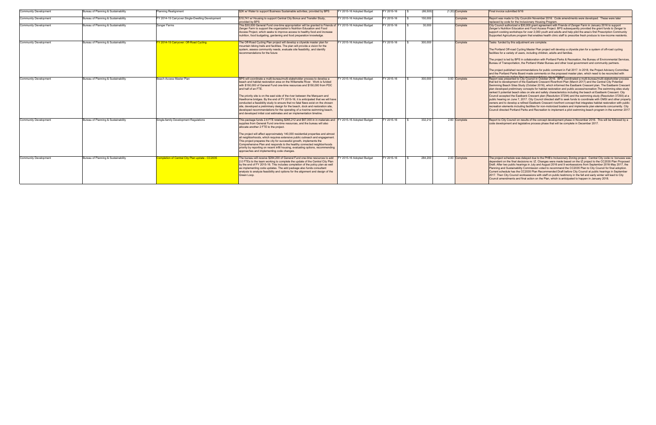|                              |                                     |                                                        | \$2K w/ Water to support Business Sustainable activities, provided by BPS                                                                                                                                                                                                                                                                                                                                                                                                                                                                                                                                                                                                                                                                              | FY 2015-16 Adopted Budget |           | (66.500) |                   | Final invoice submitted 6/16                                                                                                                                                                                                                                                                                                                                                                                                                                                                                                                                                                                                                                                                                                                                                                                                                                                                                                                                                                                                                                                                                                                                                                    |
|------------------------------|-------------------------------------|--------------------------------------------------------|--------------------------------------------------------------------------------------------------------------------------------------------------------------------------------------------------------------------------------------------------------------------------------------------------------------------------------------------------------------------------------------------------------------------------------------------------------------------------------------------------------------------------------------------------------------------------------------------------------------------------------------------------------------------------------------------------------------------------------------------------------|---------------------------|-----------|----------|-------------------|-------------------------------------------------------------------------------------------------------------------------------------------------------------------------------------------------------------------------------------------------------------------------------------------------------------------------------------------------------------------------------------------------------------------------------------------------------------------------------------------------------------------------------------------------------------------------------------------------------------------------------------------------------------------------------------------------------------------------------------------------------------------------------------------------------------------------------------------------------------------------------------------------------------------------------------------------------------------------------------------------------------------------------------------------------------------------------------------------------------------------------------------------------------------------------------------------|
| <b>Community Development</b> | Bureau of Planning & Sustainability | lanning Realignment                                    |                                                                                                                                                                                                                                                                                                                                                                                                                                                                                                                                                                                                                                                                                                                                                        |                           | Y 2015-16 |          | $(1.20)$ Complete |                                                                                                                                                                                                                                                                                                                                                                                                                                                                                                                                                                                                                                                                                                                                                                                                                                                                                                                                                                                                                                                                                                                                                                                                 |
| <b>Community Development</b> | Bureau of Planning & Sustainability | FY 2014-15 Carryover:Single-Dwelling Development       | \$10,741 w/ Housing to support Central City Bonus and Transfer Study,<br>rovided by BPS                                                                                                                                                                                                                                                                                                                                                                                                                                                                                                                                                                                                                                                                | FY 2015-16 Adopted Budget | Y 2015-16 | 150,000  | Complete          | Report was made to City Councilin November 2016. Code amendments were developed. These were later<br>replaced by code for the Inclusionary Housing Program.                                                                                                                                                                                                                                                                                                                                                                                                                                                                                                                                                                                                                                                                                                                                                                                                                                                                                                                                                                                                                                     |
| <b>Community Development</b> | Bureau of Planning & Sustainability | Zenger Farms                                           | This \$30,000 General Fund one-time appropriation will be granted to Friends of FY 2015-16 Adopted Budget<br>Zenger Farm to support the organization's Nutrition Education and Food<br>Access Project, which seeks to improve access to healthy food and increase<br>nutrition, food budgeting, gardening and food preparation knowledge.                                                                                                                                                                                                                                                                                                                                                                                                              |                           | Y 2015-16 | 30,000   | Complete          | City Council authorized a \$30,000 grant agreement with Friends of Zenger Farm in January 2016 to support<br>Zenger's Nutrition Education and Food Access Project. BPS subsequently provided the grant funds to Zenger to<br>support cooking workshops for over 2,000 youth and adults and help pilot the area's first Prescription Community<br>Supported Agriculture program that enables health clinic staff to prescribe fresh produce to low-income residents.                                                                                                                                                                                                                                                                                                                                                                                                                                                                                                                                                                                                                                                                                                                             |
| <b>Community Development</b> | Bureau of Planning & Sustainability | FY 2014-15 Carryover: Off-Road Cycling                 | The Off-Road Cycling Plan project will develop a citywide master plan for<br>mountain biking trails and facilities. The plan will provide a vision for the<br>system, assess community needs, evaluate site feasibility, and identify<br>recommendations for the future                                                                                                                                                                                                                                                                                                                                                                                                                                                                                | FY 2015-16 Adopted Budget | Y 2015-16 | 300,000  | Complete          | Tasks funded by this adjustment are complete.<br>The Portland Off-road Cycling Master Plan project will develop a citywide plan for a system of off-road cycling<br>facilities for a variety of users, including children, adults and families.<br>The project is led by BPS in collaboration with Portland Parks & Recreation, the Bureau of Environmental Services,<br>Bureau of Transportation, the Portland Water Bureau and other local government and community partners.<br>The project published recommendations for public comment in Fall 2017. In 2018, the Project Advisory Committee<br>and the Portland Parks Board made comments on the proposed master plan, which need to be reconciled with                                                                                                                                                                                                                                                                                                                                                                                                                                                                                   |
| <b>Community Development</b> | Bureau of Planning & Sustainability | Beach Access Master Plan                               | BPS will coordinate a multi-bureau/multi-stakeholder process to develop a<br>beach and habitat restoration area on the Willamette River. Work is funded<br>with \$150,000 of General Fund one-time resources and \$150,000 from PDC<br>and half of an FTE.<br>The priority site is on the east side of the river between the Marguam and<br>Hawthorne bridges. By the end of FY 2015-16, it is anticipated that we will have<br>conducted a feasibility study to ensure that no fatal flaws exist on the chosen<br>site, developed a preliminary design for the beach, dock and restoration site,<br>developed recommendations for the operating of a riverine swimming beach,<br>and developed initial cost estimates and an implementation timeline. | FY 2015-16 Adopted Budget | Y 2015-16 | 300,000  | 0.50 Complete     | Report was presented to City Council in October 2016. BPS coordinated a multi-bureau/multi-stakeholder process<br>that led to development of the Eastbank Crescent Riverfront Plan (March 2017) and the Central City Potential<br>Swimming Beach Sites Study (October 2016), which informed the Eastbank Crescent plan. The Eastbank Crescent<br>plan developed preliminary concepts for habitat restoration and public access/recreation. The swimming sites study<br>ranked 5 potential beach sites on site and safety characteristics including the beach at Eastbank Crescent. City<br>Council accepted the Eastbank Crescent plan (Resolution 37294) and the swimming study (Resolution 37293) at a<br>public hearing on June 7, 2017. City Council directed staff to seek funds to coordinate with OMSI and other property<br>owners and to develop a refined Eastbank Crescent riverfront concept that integrates habitat restoration with public<br>recreation elements including facilities for non-motorized boaters and implements plan elements concurrently. City<br>Council directed Portland Parks and Recreation to implement a pilot swimming beach program in the summer 2017 |
| Community Development        | Bureau of Planning & Sustainability | Single-family Development Regulations                  | This package funds 2.6 FTE totaling \$265,212 and \$67,000 in in materials and FY 2015-16 Adopted Budget<br>supplies from General Fund one-time resources, and the bureau will also<br>allocate another 2 FTE to the project.<br>The project will affect approximately 140,000 residential properties and almost<br>all neighborhoods, which requires extensive public outreach and engagement.<br>This project prepares the city for successful growth, implements the<br>Comprehensive Plan and responds to the healthy connected neighborhoods<br>priority by reporting on recent infill housing, evaluating options, recommending<br>approaches and implementing code changes.                                                                     |                           | Y 2015-16 | 332,212  | 2.60 Complete     | Report to City Council on results of the concept development phase in November 2016. This will be followed by a<br>code development and legislative process phase that will be complete in December 2017.                                                                                                                                                                                                                                                                                                                                                                                                                                                                                                                                                                                                                                                                                                                                                                                                                                                                                                                                                                                       |
| <b>Community Development</b> | Bureau of Planning & Sustainability | <b>Completion of Central City Plan update - CC2035</b> | The bureau will receive \$284,200 of General Fund one-time resources to add<br>2.0 FTEs to the team working to complete the update of the Central City Plan<br>by the end of FY 2015-16. This includes completion of the policy plan as well<br>as implementing code updates. The add package also funds consultant<br>analysis to analyze feasibility and options for the alignment and design of the<br>Green Loop.                                                                                                                                                                                                                                                                                                                                  | FY 2015-16 Adopted Budget | Y 2015-16 | 284,200  | 2.00 Complete     | The project schedule was delayed due to the PHB's Inclusionary Zoning project. Central City code re: bonuses was<br>dependent on the final decisions re: IZ. Changes were made based on the IZ project to the CC2035 Plan Proposed<br>Draft. After two public hearings in July and August 2016 and 9 worksessions from September 2016-May 2017, the<br>Planning and Sustainability Commission voted to recommend the CC2035 Plan to City Council for final adoption.<br>Current schedule has the CC2035 Plan Recommended Draft before City Council at public hearings in September<br>2017. Then City Council worksessions with staff on public testimony in the fall and early winter will lead to City<br>Council amendments and final action on the Plan, which is anticipated to happen in January 2018.                                                                                                                                                                                                                                                                                                                                                                                    |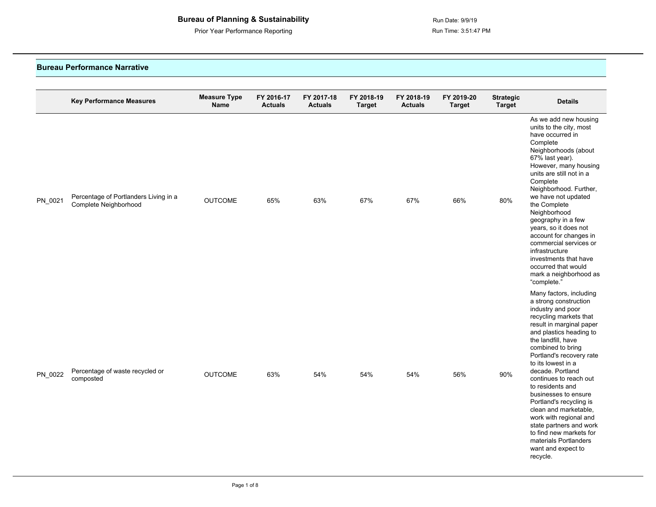Prior Year Performance Reporting **Run Time: 3:51:47 PM** 

#### **Bureau Performance Narrative**

|         | <b>Key Performance Measures</b>                                | <b>Measure Type</b><br>Name | FY 2016-17<br><b>Actuals</b> | FY 2017-18<br><b>Actuals</b> | FY 2018-19<br><b>Target</b> | FY 2018-19<br><b>Actuals</b> | FY 2019-20<br><b>Target</b> | <b>Strategic</b><br><b>Target</b> | <b>Details</b>                                                                                                                                                                                                                                                                                                                                                                                                                                                                                                                               |
|---------|----------------------------------------------------------------|-----------------------------|------------------------------|------------------------------|-----------------------------|------------------------------|-----------------------------|-----------------------------------|----------------------------------------------------------------------------------------------------------------------------------------------------------------------------------------------------------------------------------------------------------------------------------------------------------------------------------------------------------------------------------------------------------------------------------------------------------------------------------------------------------------------------------------------|
| PN_0021 | Percentage of Portlanders Living in a<br>Complete Neighborhood | <b>OUTCOME</b>              | 65%                          | 63%                          | 67%                         | 67%                          | 66%                         | 80%                               | As we add new housing<br>units to the city, most<br>have occurred in<br>Complete<br>Neighborhoods (about<br>67% last year).<br>However, many housing<br>units are still not in a<br>Complete<br>Neighborhood. Further,<br>we have not updated<br>the Complete<br>Neighborhood<br>geography in a few<br>years, so it does not<br>account for changes in<br>commercial services or<br>infrastructure<br>investments that have<br>occurred that would<br>mark a neighborhood as<br>"complete."                                                  |
| PN_0022 | Percentage of waste recycled or<br>composted                   | <b>OUTCOME</b>              | 63%                          | 54%                          | 54%                         | 54%                          | 56%                         | 90%                               | Many factors, including<br>a strong construction<br>industry and poor<br>recycling markets that<br>result in marginal paper<br>and plastics heading to<br>the landfill, have<br>combined to bring<br>Portland's recovery rate<br>to its lowest in a<br>decade. Portland<br>continues to reach out<br>to residents and<br>businesses to ensure<br>Portland's recycling is<br>clean and marketable,<br>work with regional and<br>state partners and work<br>to find new markets for<br>materials Portlanders<br>want and expect to<br>recycle. |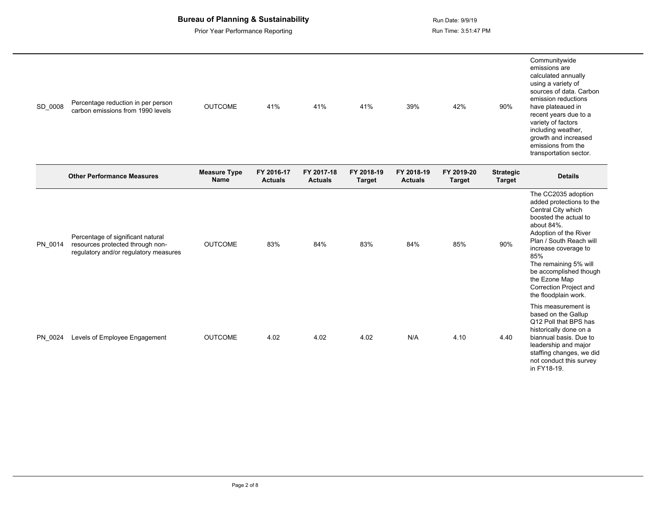| SD_0008 | Percentage reduction in per person<br>carbon emissions from 1990 levels                                        | <b>OUTCOME</b>              | 41%                          | 41%                          | 41%                         | 39%                          | 42%                         | 90%                               | Communitywide<br>emissions are<br>calculated annually<br>using a variety of<br>sources of data. Carbon<br>emission reductions<br>have plateaued in<br>recent years due to a<br>variety of factors<br>including weather,<br>growth and increased<br>emissions from the<br>transportation sector.                       |
|---------|----------------------------------------------------------------------------------------------------------------|-----------------------------|------------------------------|------------------------------|-----------------------------|------------------------------|-----------------------------|-----------------------------------|-----------------------------------------------------------------------------------------------------------------------------------------------------------------------------------------------------------------------------------------------------------------------------------------------------------------------|
|         | <b>Other Performance Measures</b>                                                                              | <b>Measure Type</b><br>Name | FY 2016-17<br><b>Actuals</b> | FY 2017-18<br><b>Actuals</b> | FY 2018-19<br><b>Target</b> | FY 2018-19<br><b>Actuals</b> | FY 2019-20<br><b>Target</b> | <b>Strategic</b><br><b>Target</b> | <b>Details</b>                                                                                                                                                                                                                                                                                                        |
| PN 0014 | Percentage of significant natural<br>resources protected through non-<br>regulatory and/or regulatory measures | <b>OUTCOME</b>              | 83%                          | 84%                          | 83%                         | 84%                          | 85%                         | 90%                               | The CC2035 adoption<br>added protections to the<br>Central City which<br>boosted the actual to<br>about 84%.<br>Adoption of the River<br>Plan / South Reach will<br>increase coverage to<br>85%<br>The remaining 5% will<br>be accomplished though<br>the Ezone Map<br>Correction Project and<br>the floodplain work. |
| PN_0024 | Levels of Employee Engagement                                                                                  | <b>OUTCOME</b>              | 4.02                         | 4.02                         | 4.02                        | N/A                          | 4.10                        | 4.40                              | This measurement is<br>based on the Gallup<br>Q12 Poll that BPS has<br>historically done on a<br>biannual basis. Due to<br>leadership and major<br>staffing changes, we did<br>not conduct this survey<br>in FY18-19.                                                                                                 |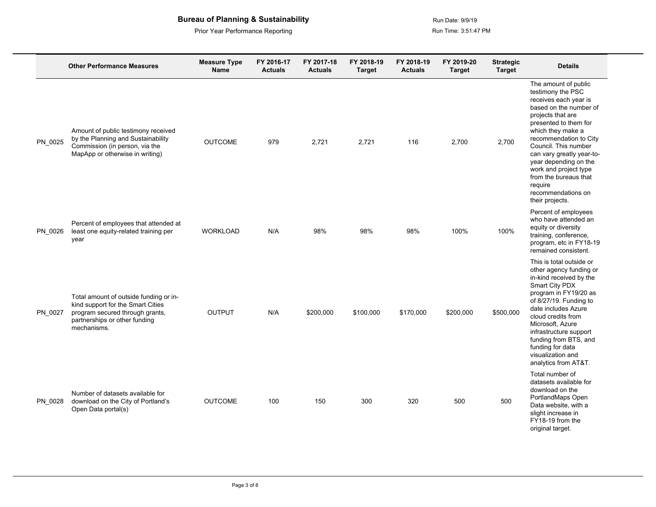|         | <b>Other Performance Measures</b>                                                                                                                              | <b>Measure Type</b><br>Name | FY 2016-17<br><b>Actuals</b> | FY 2017-18<br><b>Actuals</b> | FY 2018-19<br><b>Target</b> | FY 2018-19<br><b>Actuals</b> | FY 2019-20<br><b>Target</b> | <b>Strategic</b><br><b>Target</b> | <b>Details</b>                                                                                                                                                                                                                                                                                                                                                                |
|---------|----------------------------------------------------------------------------------------------------------------------------------------------------------------|-----------------------------|------------------------------|------------------------------|-----------------------------|------------------------------|-----------------------------|-----------------------------------|-------------------------------------------------------------------------------------------------------------------------------------------------------------------------------------------------------------------------------------------------------------------------------------------------------------------------------------------------------------------------------|
| PN_0025 | Amount of public testimony received<br>by the Planning and Sustainability<br>Commission (in person, via the<br>MapApp or otherwise in writing)                 | <b>OUTCOME</b>              | 979                          | 2,721                        | 2,721                       | 116                          | 2,700                       | 2,700                             | The amount of public<br>testimony the PSC<br>receives each year is<br>based on the number of<br>projects that are<br>presented to them for<br>which they make a<br>recommendation to City<br>Council. This number<br>can vary greatly year-to-<br>year depending on the<br>work and project type<br>from the bureaus that<br>require<br>recommendations on<br>their projects. |
| PN 0026 | Percent of employees that attended at<br>least one equity-related training per<br>vear                                                                         | <b>WORKLOAD</b>             | N/A                          | 98%                          | 98%                         | 98%                          | 100%                        | 100%                              | Percent of employees<br>who have attended an<br>equity or diversity<br>training, conference,<br>program, etc in FY18-19<br>remained consistent.                                                                                                                                                                                                                               |
| PN_0027 | Total amount of outside funding or in-<br>kind support for the Smart Cities<br>program secured through grants,<br>partnerships or other funding<br>mechanisms. | <b>OUTPUT</b>               | N/A                          | \$200,000                    | \$100,000                   | \$170,000                    | \$200,000                   | \$500,000                         | This is total outside or<br>other agency funding or<br>in-kind received by the<br>Smart City PDX<br>program in FY19/20 as<br>of 8/27/19. Funding to<br>date includes Azure<br>cloud credits from<br>Microsoft, Azure<br>infrastructure support<br>funding from BTS, and<br>funding for data<br>visualization and<br>analytics from AT&T.                                      |
| PN 0028 | Number of datasets available for<br>download on the City of Portland's<br>Open Data portal(s)                                                                  | <b>OUTCOME</b>              | 100                          | 150                          | 300                         | 320                          | 500                         | 500                               | Total number of<br>datasets available for<br>download on the<br>PortlandMaps Open<br>Data website, with a<br>slight increase in<br>FY18-19 from the<br>original target.                                                                                                                                                                                                       |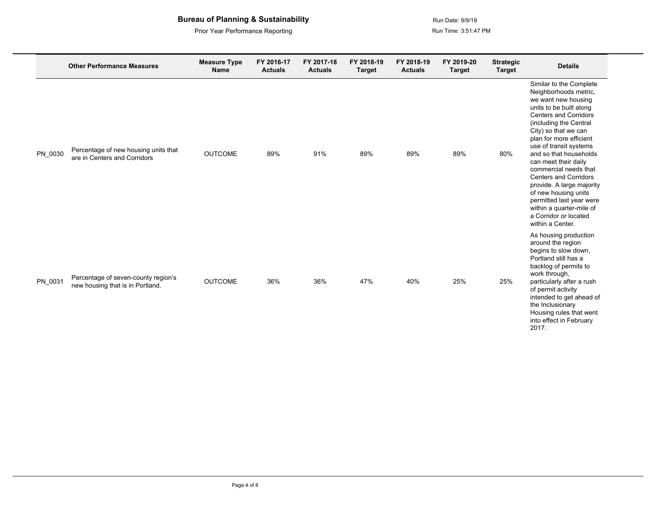|         | <b>Other Performance Measures</b>                                       | <b>Measure Type</b><br>Name | FY 2016-17<br><b>Actuals</b> | FY 2017-18<br><b>Actuals</b> | FY 2018-19<br><b>Target</b> | FY 2018-19<br><b>Actuals</b> | FY 2019-20<br><b>Target</b> | <b>Strategic</b><br><b>Target</b> | <b>Details</b>                                                                                                                                                                                                                                                                                                                                                                                                                                                                                                 |
|---------|-------------------------------------------------------------------------|-----------------------------|------------------------------|------------------------------|-----------------------------|------------------------------|-----------------------------|-----------------------------------|----------------------------------------------------------------------------------------------------------------------------------------------------------------------------------------------------------------------------------------------------------------------------------------------------------------------------------------------------------------------------------------------------------------------------------------------------------------------------------------------------------------|
| PN 0030 | Percentage of new housing units that<br>are in Centers and Corridors    | <b>OUTCOME</b>              | 89%                          | 91%                          | 89%                         | 89%                          | 89%                         | 80%                               | Similar to the Complete<br>Neighborhoods metric,<br>we want new housing<br>units to be built along<br><b>Centers and Corridors</b><br>(including the Central<br>City) so that we can<br>plan for more efficient<br>use of transit systems<br>and so that households<br>can meet their daily<br>commercial needs that<br><b>Centers and Corridors</b><br>provide. A large majority<br>of new housing units<br>permitted last year were<br>within a quarter-mile of<br>a Corridor or located<br>within a Center. |
| PN 0031 | Percentage of seven-county region's<br>new housing that is in Portland. | <b>OUTCOME</b>              | 36%                          | 36%                          | 47%                         | 40%                          | 25%                         | 25%                               | As housing production<br>around the region<br>begins to slow down,<br>Portland still has a<br>backlog of permits to<br>work through,<br>particularly after a rush<br>of permit activity<br>intended to get ahead of<br>the Inclusionary<br>Housing rules that went<br>into effect in February<br>2017.                                                                                                                                                                                                         |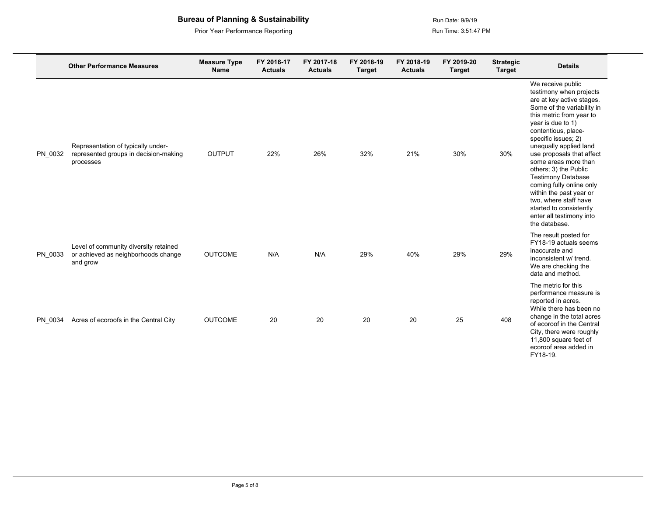|         | <b>Other Performance Measures</b>                                                        | <b>Measure Type</b><br>Name | FY 2016-17<br><b>Actuals</b> | FY 2017-18<br><b>Actuals</b> | FY 2018-19<br><b>Target</b> | FY 2018-19<br><b>Actuals</b> | FY 2019-20<br><b>Target</b> | <b>Strategic</b><br><b>Target</b> | <b>Details</b>                                                                                                                                                                                                                                                                                                                                                                                                                                                                                      |
|---------|------------------------------------------------------------------------------------------|-----------------------------|------------------------------|------------------------------|-----------------------------|------------------------------|-----------------------------|-----------------------------------|-----------------------------------------------------------------------------------------------------------------------------------------------------------------------------------------------------------------------------------------------------------------------------------------------------------------------------------------------------------------------------------------------------------------------------------------------------------------------------------------------------|
| PN 0032 | Representation of typically under-<br>represented groups in decision-making<br>processes | <b>OUTPUT</b>               | 22%                          | 26%                          | 32%                         | 21%                          | 30%                         | 30%                               | We receive public<br>testimony when projects<br>are at key active stages.<br>Some of the variability in<br>this metric from year to<br>year is due to 1)<br>contentious, place-<br>specific issues; 2)<br>unequally applied land<br>use proposals that affect<br>some areas more than<br>others; 3) the Public<br><b>Testimony Database</b><br>coming fully online only<br>within the past year or<br>two, where staff have<br>started to consistently<br>enter all testimony into<br>the database. |
| PN 0033 | Level of community diversity retained<br>or achieved as neighborhoods change<br>and grow | <b>OUTCOME</b>              | N/A                          | N/A                          | 29%                         | 40%                          | 29%                         | 29%                               | The result posted for<br>FY18-19 actuals seems<br>inaccurate and<br>inconsistent w/ trend.<br>We are checking the<br>data and method.                                                                                                                                                                                                                                                                                                                                                               |
| PN 0034 | Acres of ecoroofs in the Central City                                                    | <b>OUTCOME</b>              | 20                           | 20                           | 20                          | 20                           | 25                          | 408                               | The metric for this<br>performance measure is<br>reported in acres.<br>While there has been no<br>change in the total acres<br>of ecoroof in the Central<br>City, there were roughly<br>11,800 square feet of<br>ecoroof area added in<br>FY18-19.                                                                                                                                                                                                                                                  |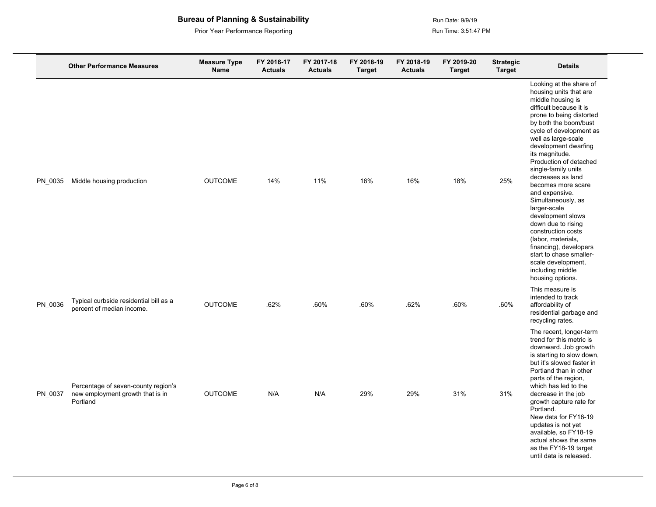|         | <b>Other Performance Measures</b>                                                   | <b>Measure Type</b><br>Name | FY 2016-17<br><b>Actuals</b> | FY 2017-18<br><b>Actuals</b> | FY 2018-19<br><b>Target</b> | FY 2018-19<br><b>Actuals</b> | FY 2019-20<br><b>Target</b> | <b>Strategic</b><br><b>Target</b> | <b>Details</b>                                                                                                                                                                                                                                                                                                                                                                                                                                                                                                                                                                                                   |
|---------|-------------------------------------------------------------------------------------|-----------------------------|------------------------------|------------------------------|-----------------------------|------------------------------|-----------------------------|-----------------------------------|------------------------------------------------------------------------------------------------------------------------------------------------------------------------------------------------------------------------------------------------------------------------------------------------------------------------------------------------------------------------------------------------------------------------------------------------------------------------------------------------------------------------------------------------------------------------------------------------------------------|
| PN 0035 | Middle housing production                                                           | <b>OUTCOME</b>              | 14%                          | 11%                          | 16%                         | 16%                          | 18%                         | 25%                               | Looking at the share of<br>housing units that are<br>middle housing is<br>difficult because it is<br>prone to being distorted<br>by both the boom/bust<br>cycle of development as<br>well as large-scale<br>development dwarfing<br>its magnitude.<br>Production of detached<br>single-family units<br>decreases as land<br>becomes more scare<br>and expensive.<br>Simultaneously, as<br>larger-scale<br>development slows<br>down due to rising<br>construction costs<br>(labor, materials,<br>financing), developers<br>start to chase smaller-<br>scale development,<br>including middle<br>housing options. |
| PN 0036 | Typical curbside residential bill as a<br>percent of median income.                 | <b>OUTCOME</b>              | .62%                         | .60%                         | .60%                        | .62%                         | .60%                        | .60%                              | This measure is<br>intended to track<br>affordability of<br>residential garbage and<br>recycling rates.                                                                                                                                                                                                                                                                                                                                                                                                                                                                                                          |
| PN 0037 | Percentage of seven-county region's<br>new employment growth that is in<br>Portland | <b>OUTCOME</b>              | N/A                          | N/A                          | 29%                         | 29%                          | 31%                         | 31%                               | The recent, longer-term<br>trend for this metric is<br>downward. Job growth<br>is starting to slow down,<br>but it's slowed faster in<br>Portland than in other<br>parts of the region,<br>which has led to the<br>decrease in the job<br>growth capture rate for<br>Portland.<br>New data for FY18-19<br>updates is not yet<br>available, so FY18-19<br>actual shows the same<br>as the FY18-19 target<br>until data is released.                                                                                                                                                                               |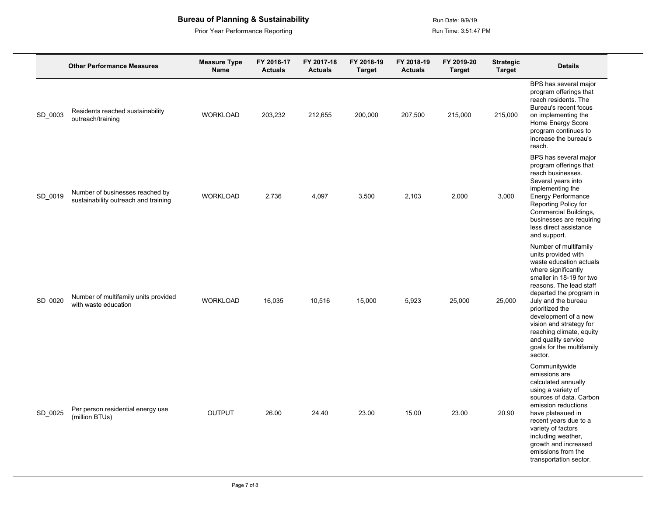|         | <b>Other Performance Measures</b>                                       | <b>Measure Type</b><br><b>Name</b> | FY 2016-17<br><b>Actuals</b> | FY 2017-18<br><b>Actuals</b> | FY 2018-19<br><b>Target</b> | FY 2018-19<br><b>Actuals</b> | FY 2019-20<br><b>Target</b> | <b>Strategic</b><br><b>Target</b> | <b>Details</b>                                                                                                                                                                                                                                                                                                                                                           |
|---------|-------------------------------------------------------------------------|------------------------------------|------------------------------|------------------------------|-----------------------------|------------------------------|-----------------------------|-----------------------------------|--------------------------------------------------------------------------------------------------------------------------------------------------------------------------------------------------------------------------------------------------------------------------------------------------------------------------------------------------------------------------|
| SD_0003 | Residents reached sustainability<br>outreach/training                   | <b>WORKLOAD</b>                    | 203,232                      | 212,655                      | 200,000                     | 207,500                      | 215,000                     | 215,000                           | BPS has several major<br>program offerings that<br>reach residents. The<br>Bureau's recent focus<br>on implementing the<br>Home Energy Score<br>program continues to<br>increase the bureau's<br>reach.                                                                                                                                                                  |
| SD_0019 | Number of businesses reached by<br>sustainability outreach and training | <b>WORKLOAD</b>                    | 2,736                        | 4,097                        | 3,500                       | 2,103                        | 2,000                       | 3,000                             | BPS has several major<br>program offerings that<br>reach businesses.<br>Several years into<br>implementing the<br>Energy Performance<br>Reporting Policy for<br>Commercial Buildings,<br>businesses are requiring<br>less direct assistance<br>and support.                                                                                                              |
| SD 0020 | Number of multifamily units provided<br>with waste education            | <b>WORKLOAD</b>                    | 16,035                       | 10,516                       | 15,000                      | 5,923                        | 25,000                      | 25,000                            | Number of multifamily<br>units provided with<br>waste education actuals<br>where significantly<br>smaller in 18-19 for two<br>reasons. The lead staff<br>departed the program in<br>July and the bureau<br>prioritized the<br>development of a new<br>vision and strategy for<br>reaching climate, equity<br>and quality service<br>goals for the multifamily<br>sector. |
| SD 0025 | Per person residential energy use<br>(million BTUs)                     | OUTPUT                             | 26.00                        | 24.40                        | 23.00                       | 15.00                        | 23.00                       | 20.90                             | Communitywide<br>emissions are<br>calculated annually<br>using a variety of<br>sources of data. Carbon<br>emission reductions<br>have plateaued in<br>recent years due to a<br>variety of factors<br>including weather,<br>growth and increased<br>emissions from the<br>transportation sector.                                                                          |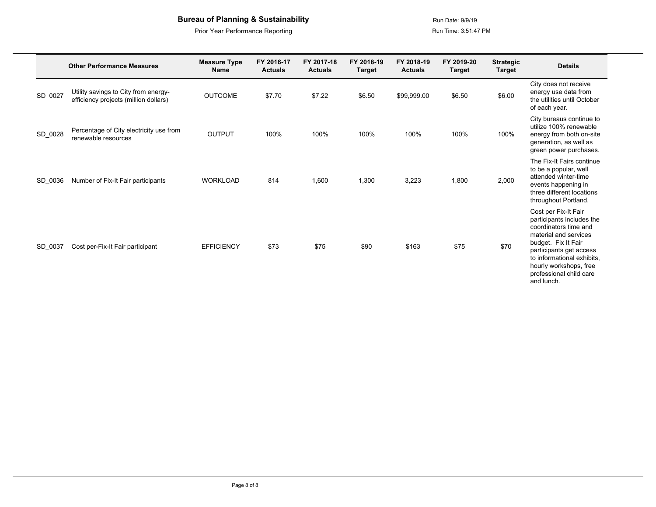Prior Year Performance Reporting **Run Time: 3:51:47 PM** 

|         | <b>Other Performance Measures</b>                                             | FY 2016-17<br><b>Measure Type</b><br><b>Actuals</b><br><b>Name</b> |        | FY 2017-18<br><b>Actuals</b> | FY 2018-19<br><b>Target</b> | FY 2018-19<br><b>Actuals</b> | FY 2019-20<br><b>Target</b> | <b>Strategic</b><br><b>Target</b> | <b>Details</b>                                                                                                                                                                                                                                         |
|---------|-------------------------------------------------------------------------------|--------------------------------------------------------------------|--------|------------------------------|-----------------------------|------------------------------|-----------------------------|-----------------------------------|--------------------------------------------------------------------------------------------------------------------------------------------------------------------------------------------------------------------------------------------------------|
| SD_0027 | Utility savings to City from energy-<br>efficiency projects (million dollars) | <b>OUTCOME</b>                                                     | \$7.70 | \$7.22                       | \$6.50                      | \$99,999.00                  | \$6.50                      | \$6.00                            | City does not receive<br>energy use data from<br>the utilities until October<br>of each year.                                                                                                                                                          |
| SD_0028 | Percentage of City electricity use from<br>renewable resources                | <b>OUTPUT</b>                                                      | 100%   | 100%                         | 100%                        | 100%                         | 100%                        | 100%                              | City bureaus continue to<br>utilize 100% renewable<br>energy from both on-site<br>generation, as well as<br>green power purchases.                                                                                                                     |
| SD 0036 | Number of Fix-It Fair participants                                            | <b>WORKLOAD</b>                                                    | 814    | 1,600                        | 1,300                       | 3,223                        | 1,800                       | 2,000                             | The Fix-It Fairs continue<br>to be a popular, well<br>attended winter-time<br>events happening in<br>three different locations<br>throughout Portland.                                                                                                 |
| SD_0037 | Cost per-Fix-It Fair participant                                              | <b>EFFICIENCY</b>                                                  | \$73   | \$75                         | \$90                        | \$163                        | \$75                        | \$70                              | Cost per Fix-It Fair<br>participants includes the<br>coordinators time and<br>material and services<br>budget. Fix It Fair<br>participants get access<br>to informational exhibits.<br>hourly workshops, free<br>professional child care<br>and lunch. |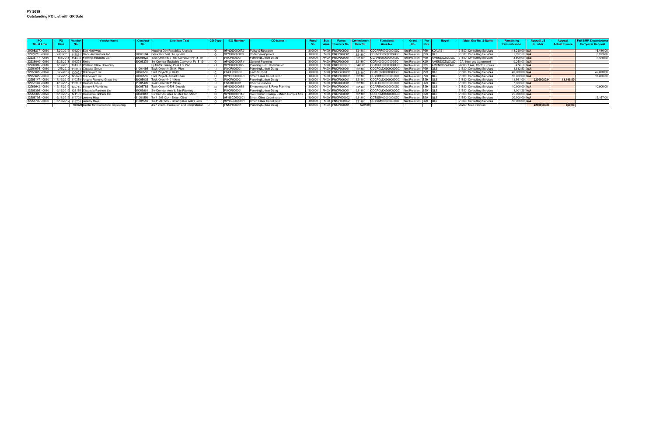|                 | PO.         | Vendor                 | <b>Vendor Name</b>                         | Contract | <b>Line Item Text</b>                       | CO Type | <b>CO Number</b> | <b>CO Name</b>                           |        | <b>Funds</b>           |                | unctiona         | Grant                   |            |              | Matri Grp No. & Name       |                    | <b>Accrual JE</b> | Accrua                | <b>Fall BMP Encumbrance</b> |
|-----------------|-------------|------------------------|--------------------------------------------|----------|---------------------------------------------|---------|------------------|------------------------------------------|--------|------------------------|----------------|------------------|-------------------------|------------|--------------|----------------------------|--------------------|-------------------|-----------------------|-----------------------------|
| No. & Line      | <b>Date</b> | No.                    |                                            |          |                                             |         |                  |                                          |        | <b>Centers No.</b>     | <b>Item No</b> | Area No.         |                         | <b>Grp</b> |              |                            | <b>Encumbrance</b> | <b>Number</b>     | <b>Actual Invoice</b> | <b>Carryover Request</b>    |
|                 |             |                        |                                            |          |                                             |         |                  |                                          |        |                        |                |                  |                         |            |              |                            |                    |                   |                       |                             |
| 20008377 - 0010 |             |                        | 5/30/2019 101294 Eco Northwest             |          | Housing Dev Feasibility Analysis            |         | PN000000072      | Policy & Research                        | 100000 | PN00 PNCP000001        | 521100         | CDCPPR00000000GC | Not Relevant P99 KDAVIS |            |              | 91800 Consulting Services  | 18,210.00 N/A      |                   |                       | 16,446.00                   |
| 22229715 - 0020 |             |                        | 2/20/2018 113834 Deca Architecture Inc     |          | 30006184 Doza Dev./test. To 9pn-69          |         | PN000000069      | <b>Code Development</b>                  |        | 100000 PN00 PNCP000001 | 521100         | CDPNCD00000000GC | Not Relevant P99 QLE    |            |              | 91800 Consulting Services  | 5,992.59 N/A       |                   |                       | 5,993.00                    |
| 22236717 - 0010 |             |                        | 6/5/2018 114636 Flowing Solutions Llc      | 3000592. | Task Order 53018db Carryover Fy 18-19       |         | PNCP000001       | Planning&urban Desig                     | 100000 | PN00 PNCP000001        | 521100         | CDAPEN00000000GC | Not Relevant P99        |            | AMENDOZACALD | 91800 Consulting Services  | 3,500.00 N/A       |                   |                       | 3,500.00                    |
| 22238040 - 0010 |             | 6/25/2018 101298 Metro |                                            | 30006379 | Sw Corridor Equitable Carryover Fy18-19     |         | 9PN000000071     | General Planning                         | 100000 | PN00 PNCP000001        | 521100         | CDPN0000000000GC | Not Relevant X99        |            | AMENDOZACALD | IGA Inter-gov Agreement    | 9,250.00 N/A       |                   |                       |                             |
| 22239365 - 0010 |             |                        | 7/12/2018 101330 Portland State University |          | Fy18-19 Parking Pass For Psc                |         | PN000000025      | Planning Sust. Commission                | 100000 | PN00 PNDO00000         | 542000         | DASDO00000000GC  | Not Relevant            |            | AMENDOZACALD | 96300 Fees, Contrib., Dues | 474.50 N/A         |                   |                       |                             |
| 22251076 - 0010 |             |                        | 2/6/2019 118883 Cascata Group              |          | 31001493 Task Order #12519it Plan.          |         | PNCP000001       | Planning&urban Desig                     |        | 100000 PN00 PNCP000001 | 521100         | CDCPCM00000000GC | Not Relevant P99 QLE    |            |              | 91800 Consulting Services  | 1,812.50 N/A       |                   |                       |                             |
| 22253625 - 0020 | 3/22/2019   |                        | 120622 Clairvoyant Llc                     |          | 30006516 Pudl Project Fy 18-19              |         | NOP000002        | <b>Tech Support</b>                      | 100000 | PN00 PNOP000002        | 521100         | DASTS00000000GC  | Not Relevant P99 QLE    |            |              | 91800 Consulting Services  | 42,000.00 N/A      |                   |                       | 42,000.00                   |
| 22253625 - 0030 |             |                        | 3/22/2019 120622 Clairvoyant Llc           |          | 30006516 Pudl Project - Smart Cities        |         | PNSC0000001      | <b>Smart Cities Coordination</b>         |        | 100000 PN00 PNOP000002 | 521100         | TSSM00000000GC   | Not Relevant P99 QLE    |            |              | 91800 Consulting Services  | 10,000.00 N/A      |                   |                       | 10,000.00                   |
| 22255147 - 0010 |             |                        | 4/19/2019 110389 Angelo Planning Group Inc | 3000500  | Task Order #40119ere                        |         | NCP00000         | Planning&urban Desig                     | 100000 | PN00 PNCP000001        | 521100         | CDCPCM00000000GC | Not Relevant S99        |            |              | 91800 Consulting Services  | 11,561.00          | 220000808         | 11,196.00             |                             |
| 22255148 - 0010 |             |                        | 4/19/2019 118883 Cascata Group             |          | 31001493    Task Order #41119dap            |         | NSD00000         | Communications                           |        | 100000 PN00 PNSD000001 | 521100         | TECO00000000GC   | Not Relevant S99 QLE    |            |              | 91800 Consulting Services  | 7,500.00 N/A       |                   |                       |                             |
| 22256642 - 0010 |             |                        | 5/14/2019 109745 Barney & Worth Inc        | 30005763 | Task Order #050819mb/db                     |         | PN000000068      | Environmental & River Planning           | 100000 | <b>PN00 PNCP000001</b> | 521100         | CDAPEN00000000GC | Not Relevant S99        |            |              | 91800 Consulting Services  | 10,000.00 N/A      |                   |                       | 10.000.00                   |
| 2258395 - 0010  |             |                        | 6/13/2019 121180 Cascadia Partners Llc     | 30006861 | Sw Corridor Area & Site Planning            |         | PNCP000001       | Planning&urban Desig                     | 100000 | <b>PN00 PNCP000001</b> | 521100         | CDCPCM00000000G  | Not Relevant S99        |            |              | 91800 Consulting Services  | 1,001.25 N/A       |                   |                       |                             |
| 2258395 - 0020  |             |                        | 6/13/2019 121180 Cascadia Partners Llc     | 30006861 | 1 Sw Corridor Area & Site Plan, Match       |         | PN0000001        | Sw Corridor Strategy - Match Comp & Stra | 100000 | PN00 PNCP000001        | 521100         | DCPCM00000000GC  | Not Relevant S99        |            | - IQLI       | 91800 Consulting Services  | 25,000.00 N/A      |                   |                       |                             |
| 22258705 - 0010 |             |                        | 6/18/2019 119708 Jeremy Hays               | 31001559 | To #190612ck - Smart Cities                 |         | PNSC0000001      | <b>Smart Cities Coordination</b>         | 100000 | PN00 PNOP000002        | 521100         | `DTSSM00000000GC | Not Relevant S99        |            |              | 91800 Consulting Services  | 20,000.00 N/A      |                   |                       | 13,167.00                   |
| 22258705 - 0030 |             |                        | 6/18/2019 119708 Jeremy Hays               | 31001559 | To #190612ck - Smart Cities Add Funds       |         | PNSC0000001      | <b>Smart Cities Coordination</b>         |        | 100000 PN00 PNOP000002 | 521100         | CDTSSM00000000GC | Not Relevant S99 QLE    |            |              | 91800 Consulting Services  | 10,000.00 N/A      |                   |                       |                             |
|                 |             |                        | 105928 Center for Intercultural Organizing |          | 4/27 event - translation and Interpretation |         | PNCP000001       | Planning&urban Desig                     | 100000 | PN00 PNCP000001        | 529100         |                  |                         |            |              | 96200 Misc Services        |                    | 220000808         | 760.00                |                             |